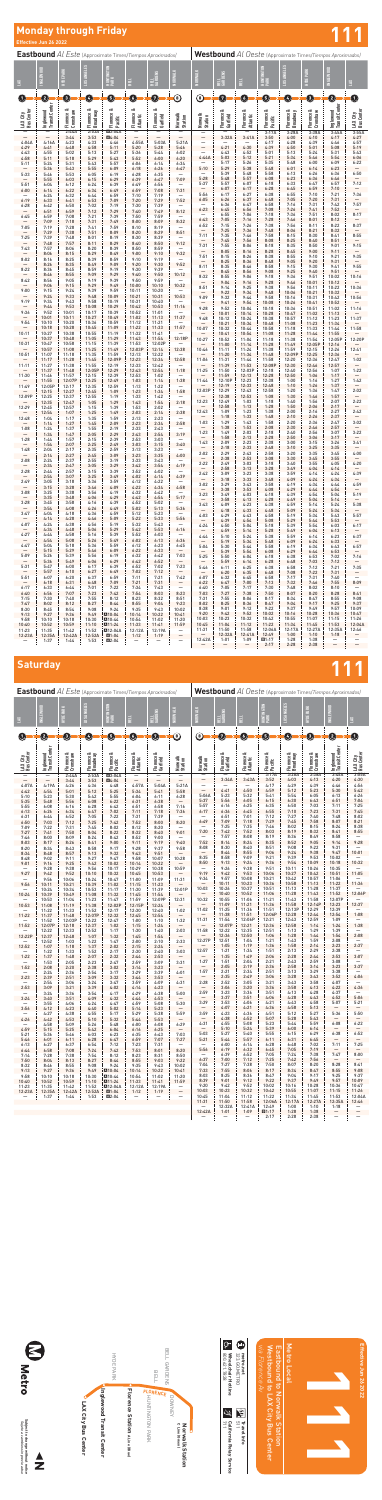**Westbound** *Al Oeste* (Approximate Times/*Tiempos Aproximados)*

|  | e Times/Tiempos Aproximado: |
|--|-----------------------------|

Subject to change without notice<br>Sujeto a cambios sin previo aviso **Subject to change without notice** *Sujeto a cambios sin previo aviso*





| $\circledcirc$<br>Ø<br>Q<br>᠖<br>0<br>0<br>0<br>O<br>Ø<br>G<br>0<br>Ø<br>0<br>Ø<br>$\left( 5\right)$<br>$\left( \begin{array}{c} 1 \end{array} \right)$<br>Inglewood<br>Transit Center<br>Inglewood<br>Transit Center<br>ಂಶ<br>ಎ<br>ಂಶ<br>ಂಶ<br>ಂಶ<br>Florence &<br>Florence &<br>Florence &<br>Florence &<br>Crenshaw<br>LAX City<br>Bus Center<br>Florence &<br>Broadway<br>LAX City<br>Bus Center<br>Florence &<br>Broadway<br>Florence &<br>Crenshaw<br>Florence &<br>Florence &<br>Garfield<br>Florence &<br>Atlantic<br>Norwalk<br>Station<br>Norwalk<br>Station<br>Garfield<br>Atlantic<br>Pacific<br>Pacific<br>2:44A<br>2:53A<br><b>43:04A</b><br>3:17A<br>3:28A<br>3:38A<br>3:45A<br>3:55A<br>$\overline{\phantom{0}}$<br>3:32A<br>4:27<br>3:44<br>3:53<br>A4:04<br>$\overline{\phantom{0}}$<br>$\overline{\phantom{0}}$<br>3:41A<br>3:50<br>4:00<br>4:10<br>4:17<br>$\overline{\phantom{0}}$<br>$\overline{\phantom{0}}$<br>4:57<br>4:04A<br>4:23<br>4:33<br>4:55A<br>5:03A<br>5:21A<br>4:17<br>4:28<br>4:39<br>4:46<br>4:16A<br>4:46<br>$\overline{\phantom{0}}$<br>4:21<br>4:30<br>5:19<br>5:43<br>4:39<br>5:01<br>5:08<br>4:29<br>5:28<br>5:46<br>—<br>4:50<br>4:41<br>4:48<br>4:58<br>5:11<br>5:20<br>4:52<br>5:24<br>5:31<br>5:02<br>5:13<br>5:27<br>5:36<br>6:02<br>4:43<br>5:01<br>5:13<br>4:43<br>4:55<br>5:44<br>6:06<br>5:03<br>5:46<br>5:54<br>4:44A<br>5:12<br>5:21<br>5:34<br>5:29<br>5:43<br>5:52<br>6:00<br>6:20<br>4:58<br>5:11<br>5:18<br>5:26<br>6:00<br>6:09<br>6:22<br>5:17<br>5:35<br>5:48<br>5:43<br>5:57<br>5:11<br>5:24<br>5:31<br>6:06<br>6:14<br>6:34<br>5:38<br>6:23<br>5:10<br>5:29<br>5:48<br>6:01<br>6:14<br>5:55<br>6:09<br>6:26<br>6:47<br>5:36<br>5:43<br>6:18<br>6:50<br>5:39<br>5:48<br>5:58<br>6:26<br>6:36<br>6:13<br>5:33<br>5:53<br>6:05<br>6:19<br>6:28<br>6:35<br>5:46<br>5:28<br>5:57<br>6:46<br>5:48<br>6:08<br>6:23<br>6:36<br>5:55<br>7:09<br>6:03<br>6:15<br>6:29<br>6:39<br>6:47<br>7:12<br>5:37<br>5:57<br>6:07<br>6:33<br>6:57<br>6:18<br>6:47<br>6:24<br>6:39<br>6:56<br>5:51<br>6:04<br>6:12<br>6:49<br>6:07<br>6:59<br>7:10<br>6:17<br>6:28<br>6:45<br>6:00<br>6:34<br>6:49<br>6:59<br>7:08<br>7:31<br>6:14<br>6:22<br>6:27<br>7:36<br>6:55<br>7:10<br>7:21<br>5:56<br>6:17<br>6:38<br>7:19<br>6:24<br>6:32<br>6:44<br>6:59<br>7:10<br>6:37<br>6:48<br>7:05<br>7:20<br>7:31<br>6:05<br>6:26<br>7:52<br>6:19<br>6:53<br>7:09<br>7:20<br>7:29<br>6:33<br>6:41<br>7:57<br>7:16<br>7:31<br>7:42<br>6:36<br>6:47<br>6:58<br>6:50<br>7:02<br>7:19<br>7:30<br>7:39<br>6:28<br>6:42<br>6:23<br>6:56<br>7:08<br>7:26<br>7:41<br>7:52<br>6:45<br>8:12<br>7:12<br>7:29<br>7:49<br>6:51<br>6:59<br>7:40<br>8:17<br>7:51<br>7:06<br>7:36<br>8:02<br>6:55<br>7:18<br>7:08<br>7:21<br>7:39<br>7:50<br>7:59<br>6:45<br>6:59<br>7:05<br>7:28<br>7:46<br>8:01<br>6:43<br>7:16<br>8:12<br>7:09<br>7:18<br>7:31<br>7:49<br>8:00<br>8:09<br>8:32<br>8:37<br>7:15<br>7:26<br>7:38<br>7:56<br>8:22<br>6:52<br>8:11<br>7:19<br>7:41<br>7:59<br>7:05<br>7:28<br>8:10<br>8:19<br>7:25<br>8:21<br>7:36<br>7:48<br>8:06<br>8:32<br>8:51<br>7:29<br>7:38<br>7:51<br>8:09<br>8:20<br>8:29<br>8:55<br>7:11<br>7:35<br>7:58<br>8:30<br>7:46<br>8:15<br>8:41<br>7:25<br>7:39<br>7:48<br>8:01<br>8:19<br>8:30<br>8:39<br>-<br>7:56<br>8:51<br>7:45<br>8:08<br>8:25<br>8:40<br>9:12<br>7:48<br>7:57<br>8:11<br>8:29<br>8:40<br>8:50<br>9:15<br>7:31<br>7:55<br>8:06<br>8:18<br>8:35<br>8:50<br>9:01<br>7:43<br>7:57<br>8:06<br>8:20<br>8:39<br>8:59<br>8:50<br>8:05<br>8:28<br>8:45<br>9:00<br>8:16<br>9:11<br>8:06<br>8:29<br>8:49<br>9:00<br>9:10<br>9:32<br>8:15<br>9:35<br>7:51<br>8:26<br>9:10<br>9:21<br>8:15<br>8:38<br>8:55<br>8:39<br>8:59<br>8:02<br>8:16<br>8:25<br>9:10<br>9:19<br>9:05<br>9:20<br>9:31<br>8:25<br>8:36<br>8:48<br>9:52<br>9:09<br>9:20<br>9:30<br>8:26<br>8:35<br>8:49<br>9:55<br>8:35<br>8:46<br>9:15<br>9:30<br>9:41<br>8:11<br>8:58<br>8:22<br>8:59<br>9:19<br>9:30<br>9:39<br>8:36<br>8:45<br>8:45<br>8:56<br>9:08<br>9:25<br>9:40<br>9:51<br>9:50<br>10:12<br>8:46<br>8:55<br>9:09<br>9:29<br>9:40<br>8:32<br>9:06<br>9:36<br>9:51<br>10:02<br>10:16<br>8:55<br>9:18<br>9:19<br>9:39<br>9:50<br>9:59<br>8:42<br>8:56<br>9:05<br>9:28<br>9:46<br>10:01<br>10:12<br>9:04<br>9:16<br>9:06<br>9:15<br>9:29<br>9:49<br>10:00<br>10:10<br>10:32<br>10:36<br>8:51<br>9:14<br>9:25<br>9:38<br>9:56<br>10:11<br>10:22<br>9:39<br>9:59<br>9:00<br>9:15<br>9:24<br>10:11<br>10:20<br>9:22<br>9:34<br>9:48<br>10:06<br>10:21<br>10:32<br>10:53<br>9:24<br>9:33<br>9:48<br>10:09<br>10:21<br>10:31<br>10:56<br>9:09<br>9:44<br>10:31<br>9:32<br>9:58<br>10:16<br>10:42<br>9:19<br>9:34<br>9:58<br>10:19<br>10:31<br>10:40<br>9:43<br>9:41<br>9:54<br>10:26<br>10:41<br>10:52<br>10:08<br>9:44<br>9:53<br>10:08<br>10:29<br>11:16<br>10:42<br>10:53<br>9:28<br>9:52<br>10:04<br>10:36<br>10:51<br>11:02<br>11:16<br>10:18<br>9:36<br>10:01<br>10:17<br>10:39<br>10:52<br>11:01<br>9:52<br>10:01<br>10:14<br>11:02<br>11:13<br>10:28<br>10:47<br>10:01<br>10:11<br>10:27<br>10:49<br>11:02<br>11:13<br>11:37<br>11:37<br>9:48<br>10:24<br>10:38<br>10:57<br>11:12<br>11:23<br>10:12<br>9:54<br>10:20<br>10:36<br>10:59<br>11:21<br>10:10<br>11:12<br>10:21<br>10:34<br>11:08<br>11:23<br>11:34<br>10:48<br>$\frac{-}{11:58}$<br>11:33<br>11:57<br>10:18<br>10:28<br>10:45<br>11:09<br>11:22<br>10:07<br>10:44<br>10:58<br>11:33<br>11:44<br>10:32<br>11:18<br>10:11<br>10:38<br>10:55<br>11:32<br>10:27<br>11:19<br>11:41<br>10:54<br>11:55<br>10:41<br>11:08<br>11:28<br>11:44<br>11:05<br>12:18P<br>10:37<br>10:48<br>11:29<br>11:43<br>11:54<br>12:05P<br>10:27<br>10:52<br>11:04<br>11:18<br>11:38<br>11:54<br>12:02P<br>10:31<br>10:47<br>10:58<br>11:15<br>11:39<br>11:53<br>11:28<br>12:05P<br>11:00<br>11:14<br>11:49<br>12:16<br>10:57<br>11:08<br>11:25<br>11:49<br>12:03P<br>12:14<br>12:38<br>12:41<br>11:24<br>12:15<br>12:26<br>10:46<br>11:11<br>11:38<br>11:59<br>10:51<br>11:35<br>11:59<br>12:22<br>11:07<br>11:18<br>12:13<br>11:20<br>11:34<br>11:48<br>12:09P<br>12:25<br>12:36<br>12:58<br>1:02<br>11:17<br>11:28<br>11:45<br>12:09P<br>12:23<br>12:34<br>12:36<br>11:06<br>11:31<br>11:44<br>11:58<br>12:20<br>12:47<br>11:11<br>11:27<br>11:38<br>11:55<br>12:19<br>12:33<br>12:42<br>11:53<br>12:08P<br>12:57<br>11:39<br>12:30<br>12:46<br>1:22<br>11:25<br>12:03P<br>12:56<br>1:07<br>12:05P<br>12:29<br>1:18<br>11:50<br>12:18<br>12:40<br>11:37<br>11:48<br>12:43<br>12:54<br>11:30<br>11:46<br>11:57<br>12:15<br>12:39<br>12:53<br>1:02<br>11:59<br>12:13<br>12:28<br>12:50<br>1:06<br>1:17<br>$\frac{-}{1:42}$<br>11:44<br>12:10P<br>12:23<br>12:38<br>1:27<br>11:55<br>12:07P<br>12:25<br>12:49<br>1:03<br>1:14<br>1:38<br>1:00<br>1:16<br>12:19<br>12:33<br>1:26<br>1:37<br>12:35<br>12:48<br>1:10<br>11:49<br>12:59<br>1:22<br>12:05P<br>12:17<br>1:13<br>2:02<br>12:03P<br>12:29<br>12:58<br>1:58<br>12:43<br>1:36<br>1:47<br>12:45<br>1:09<br>1:34<br>1:20<br>12:15<br>12:27<br>1:23<br>12:38<br>12:53<br>1:08<br>1:30<br>1:57<br>1:46<br>12:09P<br>12:37<br>12:55<br>1:33<br>12:25<br>1:19<br>1:42<br>2:22<br>12:23<br>1:03<br>12:49<br>1:18<br>1:40<br>1:56<br>2:07<br>2:18<br>1:29<br>12:35<br>12:47<br>1:05<br>1:43<br>1:54<br>12:58<br>2:06<br>2:17<br>1:13<br>1:28<br>1:50<br>12:29<br>12:45<br>12:57<br>1:15<br>2:02<br>1:39<br>1:53<br>$\overline{\phantom{0}}$<br>1:23<br>2:27<br>12:43<br>1:09<br>1:38<br>2:00<br>2:16<br>2:42<br>1:25<br>2:38<br>12:54<br>1:07<br>1:49<br>2:03<br>2:14<br>—<br>2:26<br>1:18<br>1:33<br>1:48<br>2:10<br>2:37<br>12:48<br>1:04<br>1:17<br>1:35<br>1:59<br>2:13<br>2:23<br>3:02<br>1:03<br>1:29<br>1:43<br>1:58<br>2:20<br>2:36<br>2:47<br>1:27<br>2:23<br>2:34<br>2:58<br>1:14<br>1:45<br>2:09<br>1:38<br>1:53<br>2:08<br>2:30<br>2:46<br>2:57<br>$\qquad \qquad -$<br>1:55<br>1:08<br>1:24<br>1:37<br>2:19<br>2:33<br>2:43<br>2:03<br>2:56<br>3:22<br>1:23<br>1:49<br>2:18<br>2:40<br>3:07<br>1:34<br>1:47<br>2:05<br>2:29<br>2:43<br>2:54<br>3:19<br>1:58<br>2:13<br>2:28<br>2:50<br>3:06<br>3:17<br>$\qquad \qquad -$<br>$\overline{\phantom{m}}$<br>2:15<br>1:28<br>1:44<br>1:57<br>2:39<br>2:53<br>3:03<br>2:09<br>2:23<br>2:38<br>3:00<br>3:15<br>3:26<br>3:41<br>1:43<br>2:07<br>2:25<br>3:40<br>1:54<br>2:49<br>3:03<br>3:15<br>$\overline{\phantom{m}}$<br>2:33<br>2:18<br>2:48<br>3:10<br>3:25<br>3:35<br>1:48<br>2:04<br>2:17<br>2:35<br>2:59<br>3:13<br>3:23<br>2:29<br>2:43<br>3:20<br>3:35<br>3:45<br>4:00<br>2:02<br>2:58<br>2:27<br>4:00<br>2:14<br>2:45<br>3:09<br>3:23<br>3:35<br>$\overline{\phantom{0}}$<br>2:38<br>2:53<br>3:08<br>3:30<br>3:45<br>3:55<br>$\overline{\phantom{m}}$<br>$\overline{\phantom{m}}$<br>2:55<br>2:08<br>2:24<br>2:37<br>3:19<br>3:33<br>3:43<br>$\qquad \qquad -$<br>4:20<br>2:22<br>2:49<br>3:03<br>3:18<br>3:40<br>3:55<br>4:05<br>4:19<br>2:34<br>2:47<br>3:05<br>3:29<br>3:42<br>3:54<br>4:04<br>2:58<br>3:13<br>3:28<br>3:49<br>4:14<br>2:28<br>2:57<br>3:15<br>3:39<br>3:52<br>2:44<br>4:02<br>4:39<br>2:42<br>3:09<br>3:23<br>3:38<br>3:59<br>4:14<br>4:24<br>3:25<br>4:39<br>2:54<br>3:07<br>3:49<br>4:02<br>4:14<br>$\overline{\phantom{0}}$<br>3:18<br>3:33<br>4:09<br>4:24<br>4:34<br>3:48<br>$\overline{\phantom{m}}$<br>$\overline{\phantom{m}}$<br>2:49<br>3:05<br>3:18<br>3:36<br>3:59<br>4:12<br>4:22<br>$\qquad \qquad -$<br>4:59<br>3:02<br>3:29<br>3:43<br>3:58<br>4:19<br>4:34<br>4:44<br>4:58<br>3:28<br>3:46<br>4:09<br>4:22<br>4:34<br>3:15<br>3:38<br>3:53<br>4:08<br>4:29<br>4:44<br>4:54<br>3:08<br>3:25<br>3:38<br>3:56<br>4:19<br>4:32<br>4:42<br>$\qquad \qquad -$<br>5:19<br>3:23<br>3:49<br>4:03<br>4:18<br>4:39<br>4:54<br>5:04<br>3:35<br>3:48<br>4:06<br>4:29<br>4:42<br>4:54<br>5:17<br>4:13<br>5:04<br>5:14<br>3:58<br>4:28<br>4:49<br>$\overline{\phantom{m}}$<br>3:28<br>4:16<br>4:39<br>3:45<br>3:58<br>4:52<br>5:02<br>—<br>4:23<br>5:38<br>3:43<br>4:09<br>4:38<br>4:59<br>5:14<br>5:24<br>3:54<br>4:08<br>4:26<br>4:49<br>5:02<br>5:13<br>5:36<br>$\overline{\phantom{0}}$<br>4:18<br>4:33<br>4:48<br>5:09<br>5:24<br>5:34<br>$\overline{\phantom{m}}$<br>$\overline{\phantom{m}}$<br>3:47<br>4:04<br>4:18<br>4:36<br>4:59<br>5:12<br>5:23<br>$\qquad \qquad -$<br>5:34<br>5:57<br>4:03<br>4:29<br>4:43<br>5:19<br>5:43<br>4:58<br>5:22<br>5:56<br>4:28<br>4:46<br>5:09<br>5:33<br>4:14<br>$\overline{\phantom{0}}$<br>4:39<br>4:54<br>5:08<br>5:29<br>5:44<br>5:53<br>$\overline{\phantom{0}}$<br>$\overline{\phantom{m}}$<br>4:07<br>4:24<br>4:38<br>4:56<br>5:19<br>5:32<br>5:43<br>$\qquad \qquad -$<br>6:17<br>4:24<br>5:04<br>5:18<br>5:39<br>5:54<br>6:03<br>4:50<br>4:34<br>4:48<br>5:06<br>5:29<br>5:42<br>5:53<br>6:16<br>4:59<br>5:14<br>5:28<br>5:49<br>6:04<br>6:13<br>$\overline{\phantom{0}}$<br>$\overline{\phantom{m}}$<br>4:27<br>5:16<br>5:39<br>5:52<br>4:44<br>4:58<br>6:03<br>5:24<br>5:59<br>6:23<br>6:37<br>4:44<br>5:10<br>5:38<br>6:14<br>6:36<br>4:54<br>5:08<br>5:26<br>5:49<br>6:02<br>6:13<br>$\qquad \qquad -$<br>5:34<br>5:19<br>5:48<br>6:09<br>6:24<br>6:33<br>4:47<br>5:04<br>5:18<br>5:36<br>5:59<br>6:12<br>6:23<br>6:45<br>6:57<br>5:04<br>5:30<br>5:44<br>5:58<br>6:34<br>6:43<br>6:19<br>5:29<br>5:46<br>6:09<br>6:22<br>6:33<br>5:15<br>$\qquad \qquad -$<br>5:39<br>5:54<br>6:08<br>6:29<br>6:44<br>6:53<br>$\overline{\phantom{0}}$<br>$\overline{\phantom{m}}$<br>7:03<br>5:09<br>5:26<br>5:39<br>5:56<br>6:19<br>6:32<br>6:42<br>7:16<br>5:25<br>5:50<br>6:04<br>6:18<br>6:38<br>6:53<br>7:02<br>5:36<br>5:49<br>6:06<br>6:29<br>6:42<br>6:52<br>$\overline{\phantom{m}}$<br>7:03<br>5:59<br>6:14<br>6:28<br>6:48<br>7:12<br>$\overline{\phantom{m}}$<br>7:23<br>5:31<br>6:00<br>6:39<br>7:02<br>5:47<br>6:17<br>6:52<br>5:46<br>6:11<br>6:25<br>6:38<br>6:58<br>7:12<br>7:21<br>7:35<br>6:27<br>7:02<br>5:57<br>6:10<br>6:49<br>7:12<br>7:22<br>$\overline{\phantom{m}}$<br>$\overline{\phantom{m}}$<br>6:20<br>6:35<br>6:48<br>7:08<br>7:31<br>$\qquad \qquad -$<br>-<br>5:51<br>6:07<br>6:20<br>6:37<br>6:59<br>7:11<br>7:21<br>7:42<br>7:31<br>$\overline{\phantom{0}}$<br>6:07<br>6:32<br>6:45<br>6:58<br>7:17<br>7:40<br>7:21<br>7:31<br>6:18<br>6:31<br>6:48<br>7:09<br>7:00<br>7:46<br>7:55<br>8:09<br>6:22<br>6:47<br>7:13<br>7:32<br>$\overline{\phantom{m}}$<br>$\equiv$<br>7:43<br>6:17<br>6:33<br>6:44<br>7:01<br>7:22<br>7:34<br>6:40<br>7:05<br>7:17<br>7:30<br>7:48<br>8:02<br>8:10<br>$\overline{\phantom{0}}$<br>8:41<br>6:40<br>6:56<br>7:07<br>7:23<br>7:42<br>7:54<br>8:03<br>8:23<br>7:03<br>7:27<br>7:38<br>7:50<br>8:07<br>8:20<br>8:28<br>7:55<br>8:06<br>8:55<br>9:08<br>7:15<br>7:30<br>7:40<br>7:55<br>8:12<br>8:23<br>8:32<br>8:51<br>7:31<br>8:17<br>8:34<br>8:47<br>8:25<br>8:47<br>9:25<br>9:37<br>8:27<br>8:55<br>9:04<br>9:23<br>8:02<br>8:36<br>9:04<br>9:17<br>7:47<br>8:02<br>8:12<br>8:44<br>9:01<br>9:12<br>9:22<br>9:37<br>9:49<br>9:57<br>10:09<br>9:08<br>8:38<br>8:30<br>8:45<br>8:54<br>9:24<br>9:35<br>9:43<br>10:02<br>9:52<br>10:02<br>10:28<br>10:36<br>10:47<br>9:27<br>M10:04<br>10:22<br>9:20<br>9:42<br>10:16<br>9:13<br>9:36<br>9:49<br>10:14<br>10:41<br>10:23<br>10:03<br>10:32<br>10:42<br>10:55<br>11:07<br>11:15<br>11:26<br>10:30<br>M10:44<br>10:54<br>9:58<br>10:10<br>10:18<br>11:02<br>11:20<br>11:22<br>10:45<br>11:04<br>11:12<br>11:34<br>11:45<br>11:53<br>12:04A<br>10:40<br>10:52<br>10:59<br>11:10<br><b>M11:24</b><br>11:33<br>11:41<br>11:59<br>12:06A<br>12:27A<br>12:35A<br>11:31<br>11:50<br>11:58<br>12:17A<br>12:46<br>12:19A<br>11:23<br>11:35<br>11:42<br>11:52<br>■12:04A<br>12:12A<br>—<br>12:49<br>1:00<br>1:10<br>12:32A<br>12:41A<br>1:18<br>$\qquad \qquad -$<br>12:23A<br>-<br>12:35A<br>12:42A<br>12:52A<br>Ť<br>$\blacksquare$ 1:04<br>1:12<br>1:19<br>$\overline{\phantom{0}}$<br>12:42A<br>1:01<br>1:09<br>91:17<br>1:28<br>1:38<br>—<br>—<br>1:37<br>1:44<br>1:53<br>A2:04<br>$\qquad \qquad -$<br>—<br>$\overline{\phantom{0}}$ | š | <b>INGLEWOOD</b> | HYDE PARK | LOS ANGELES | HUNTINGTON<br>PARK | EEL | BELL<br>GARDENS | NORWALK | NORWALK | BELL<br>GARDENS          | BELL                     | HUNTINGTON<br>PARK | LOS ANGELES | <b>HYDE PARK</b> | <b>INGLEWOOD</b>  | š                 |
|------------------------------------------------------------------------------------------------------------------------------------------------------------------------------------------------------------------------------------------------------------------------------------------------------------------------------------------------------------------------------------------------------------------------------------------------------------------------------------------------------------------------------------------------------------------------------------------------------------------------------------------------------------------------------------------------------------------------------------------------------------------------------------------------------------------------------------------------------------------------------------------------------------------------------------------------------------------------------------------------------------------------------------------------------------------------------------------------------------------------------------------------------------------------------------------------------------------------------------------------------------------------------------------------------------------------------------------------------------------------------------------------------------------------------------------------------------------------------------------------------------------------------------------------------------------------------------------------------------------------------------------------------------------------------------------------------------------------------------------------------------------------------------------------------------------------------------------------------------------------------------------------------------------------------------------------------------------------------------------------------------------------------------------------------------------------------------------------------------------------------------------------------------------------------------------------------------------------------------------------------------------------------------------------------------------------------------------------------------------------------------------------------------------------------------------------------------------------------------------------------------------------------------------------------------------------------------------------------------------------------------------------------------------------------------------------------------------------------------------------------------------------------------------------------------------------------------------------------------------------------------------------------------------------------------------------------------------------------------------------------------------------------------------------------------------------------------------------------------------------------------------------------------------------------------------------------------------------------------------------------------------------------------------------------------------------------------------------------------------------------------------------------------------------------------------------------------------------------------------------------------------------------------------------------------------------------------------------------------------------------------------------------------------------------------------------------------------------------------------------------------------------------------------------------------------------------------------------------------------------------------------------------------------------------------------------------------------------------------------------------------------------------------------------------------------------------------------------------------------------------------------------------------------------------------------------------------------------------------------------------------------------------------------------------------------------------------------------------------------------------------------------------------------------------------------------------------------------------------------------------------------------------------------------------------------------------------------------------------------------------------------------------------------------------------------------------------------------------------------------------------------------------------------------------------------------------------------------------------------------------------------------------------------------------------------------------------------------------------------------------------------------------------------------------------------------------------------------------------------------------------------------------------------------------------------------------------------------------------------------------------------------------------------------------------------------------------------------------------------------------------------------------------------------------------------------------------------------------------------------------------------------------------------------------------------------------------------------------------------------------------------------------------------------------------------------------------------------------------------------------------------------------------------------------------------------------------------------------------------------------------------------------------------------------------------------------------------------------------------------------------------------------------------------------------------------------------------------------------------------------------------------------------------------------------------------------------------------------------------------------------------------------------------------------------------------------------------------------------------------------------------------------------------------------------------------------------------------------------------------------------------------------------------------------------------------------------------------------------------------------------------------------------------------------------------------------------------------------------------------------------------------------------------------------------------------------------------------------------------------------------------------------------------------------------------------------------------------------------------------------------------------------------------------------------------------------------------------------------------------------------------------------------------------------------------------------------------------------------------------------------------------------------------------------------------------------------------------------------------------------------------------------------------------------------------------------------------------------------------------------------------------------------------------------------------------------------------------------------------------------------------------------------------------------------------------------------------------------------------------------------------------------------------------------------------------------------------------------------------------------------------------------------------------------------------------------------------------------------------------------------------------------------------------------------------------------------------------------------------------------------------------------------------------------------------------------------------------------------------------------------------------------------------------------------------------------------------------------------------------------------------------------------------------------------------------------------------------------------------------------------------------------------------------------------------------------------------------------------------------------------------------------------------------------------------------------------------------------------------------------------------------------------------------------------------------------------------------------------------------------------------------------------------------------------------------------------------------------------------------------------------------------------------------------------------------------------------------------------------------------------------------------------------------------------------------------------------------------------------------------------------------------------------------------------------------------------------------------------------------------------------------------------------------------------------------------------------------------------------------------------------------------------------------------------------------------------------------------------------------------------------------------------------------------------------------------------------------------------------------------------------------------------------------------------------------------------------------------------------------------------------------------------------------------------------------------------------------------------------------------------------------------------------------------------------------------------------------------------------------------------------------------------------------------------------------------------------------------------------------------------------------------------------------------------------------------------------------------------------------------------------------------------------------------------------------------------------------------------------------------------------------------------------------------------------------------------------------------------------------------------------------------------------------------------------------------------------------------------------------------------------------------------------------------------------------------------------------------------------------------------------------------------------------------------------------------------------------------------------------------------------------------------------------------------------------------------------------------------------------------------------------------------------------------------------------------------------------------------------------------------------------------------------------------------------------------------------------------------------------------------------------------------------------------------------------------------------------------------------------------------------------------------------------------------------------------------------------------------------------------------------------------------------------------------------------------------------------------------------------------------------------------------------------------------------------------------------------------------------------------------------------------------------------------------------------------------------------------------------------------------------------------------------------------------------------------------------------------------------------------------------------------------------------------------------------------------------------------------------------------------------------------------------------------------------------------------------------------------------------------------------------------------------------------------------------------------------------------------------------------------------------------------------------------------------------------------------------------------------------------------------------------------------------------------------------------------------------------------------------------------------------------------------------------------------------------------------------------------------------------------------------------------------------------------------------------------------------------------------------------------------------------------------------------------------------------------------------------------------------------------------------------------------------------------------------------------------------------------------------------------------------------------------------------------------------------------------------------------------------------------------------------------------------------------------------------------------------------------------------------------------------------------------------------------------------------------------------------------------------------------------------------------------------------------------------------------------------------------------------------------------------------------------------------------------------------------------------------------------------------------------------|---|------------------|-----------|-------------|--------------------|-----|-----------------|---------|---------|--------------------------|--------------------------|--------------------|-------------|------------------|-------------------|-------------------|
|                                                                                                                                                                                                                                                                                                                                                                                                                                                                                                                                                                                                                                                                                                                                                                                                                                                                                                                                                                                                                                                                                                                                                                                                                                                                                                                                                                                                                                                                                                                                                                                                                                                                                                                                                                                                                                                                                                                                                                                                                                                                                                                                                                                                                                                                                                                                                                                                                                                                                                                                                                                                                                                                                                                                                                                                                                                                                                                                                                                                                                                                                                                                                                                                                                                                                                                                                                                                                                                                                                                                                                                                                                                                                                                                                                                                                                                                                                                                                                                                                                                                                                                                                                                                                                                                                                                                                                                                                                                                                                                                                                                                                                                                                                                                                                                                                                                                                                                                                                                                                                                                                                                                                                                                                                                                                                                                                                                                                                                                                                                                                                                                                                                                                                                                                                                                                                                                                                                                                                                                                                                                                                                                                                                                                                                                                                                                                                                                                                                                                                                                                                                                                                                                                                                                                                                                                                                                                                                                                                                                                                                                                                                                                                                                                                                                                                                                                                                                                                                                                                                                                                                                                                                                                                                                                                                                                                                                                                                                                                                                                                                                                                                                                                                                                                                                                                                                                                                                                                                                                                                                                                                                                                                                                                                                                                                                                                                                                                                                                                                                                                                                                                                                                                                                                                                                                                                                                                                                                                                                                                                                                                                                                                                                                                                                                                                                                                                                                                                                                                                                                                                                                                                                                                                                                                                                                                                                                                                                                                                                                                                                                                                                                                                                                                                                                                                                                                                                                                                                                                                                                                                                                                                                                                                                                                                                                                                                                                                                                                                                                                                                                                                                                                                                                                                                                                                                                                                                                                                                                                                                                                                                                                                                                                                                                                                                                                                                                                                                                                                                                                                                                                                                                                                                                                                                                                                                                                                                                                                                                                                                                                                                                                                                                                                                                                                                                                                                                                                                                                                                                                                                                                                                                                                                                                                                                                                                                                                                                                |   |                  |           |             |                    |     |                 |         |         |                          |                          |                    |             |                  |                   |                   |
|                                                                                                                                                                                                                                                                                                                                                                                                                                                                                                                                                                                                                                                                                                                                                                                                                                                                                                                                                                                                                                                                                                                                                                                                                                                                                                                                                                                                                                                                                                                                                                                                                                                                                                                                                                                                                                                                                                                                                                                                                                                                                                                                                                                                                                                                                                                                                                                                                                                                                                                                                                                                                                                                                                                                                                                                                                                                                                                                                                                                                                                                                                                                                                                                                                                                                                                                                                                                                                                                                                                                                                                                                                                                                                                                                                                                                                                                                                                                                                                                                                                                                                                                                                                                                                                                                                                                                                                                                                                                                                                                                                                                                                                                                                                                                                                                                                                                                                                                                                                                                                                                                                                                                                                                                                                                                                                                                                                                                                                                                                                                                                                                                                                                                                                                                                                                                                                                                                                                                                                                                                                                                                                                                                                                                                                                                                                                                                                                                                                                                                                                                                                                                                                                                                                                                                                                                                                                                                                                                                                                                                                                                                                                                                                                                                                                                                                                                                                                                                                                                                                                                                                                                                                                                                                                                                                                                                                                                                                                                                                                                                                                                                                                                                                                                                                                                                                                                                                                                                                                                                                                                                                                                                                                                                                                                                                                                                                                                                                                                                                                                                                                                                                                                                                                                                                                                                                                                                                                                                                                                                                                                                                                                                                                                                                                                                                                                                                                                                                                                                                                                                                                                                                                                                                                                                                                                                                                                                                                                                                                                                                                                                                                                                                                                                                                                                                                                                                                                                                                                                                                                                                                                                                                                                                                                                                                                                                                                                                                                                                                                                                                                                                                                                                                                                                                                                                                                                                                                                                                                                                                                                                                                                                                                                                                                                                                                                                                                                                                                                                                                                                                                                                                                                                                                                                                                                                                                                                                                                                                                                                                                                                                                                                                                                                                                                                                                                                                                                                                                                                                                                                                                                                                                                                                                                                                                                                                                                                                                                |   |                  |           |             |                    |     |                 |         |         |                          |                          |                    |             |                  |                   |                   |
|                                                                                                                                                                                                                                                                                                                                                                                                                                                                                                                                                                                                                                                                                                                                                                                                                                                                                                                                                                                                                                                                                                                                                                                                                                                                                                                                                                                                                                                                                                                                                                                                                                                                                                                                                                                                                                                                                                                                                                                                                                                                                                                                                                                                                                                                                                                                                                                                                                                                                                                                                                                                                                                                                                                                                                                                                                                                                                                                                                                                                                                                                                                                                                                                                                                                                                                                                                                                                                                                                                                                                                                                                                                                                                                                                                                                                                                                                                                                                                                                                                                                                                                                                                                                                                                                                                                                                                                                                                                                                                                                                                                                                                                                                                                                                                                                                                                                                                                                                                                                                                                                                                                                                                                                                                                                                                                                                                                                                                                                                                                                                                                                                                                                                                                                                                                                                                                                                                                                                                                                                                                                                                                                                                                                                                                                                                                                                                                                                                                                                                                                                                                                                                                                                                                                                                                                                                                                                                                                                                                                                                                                                                                                                                                                                                                                                                                                                                                                                                                                                                                                                                                                                                                                                                                                                                                                                                                                                                                                                                                                                                                                                                                                                                                                                                                                                                                                                                                                                                                                                                                                                                                                                                                                                                                                                                                                                                                                                                                                                                                                                                                                                                                                                                                                                                                                                                                                                                                                                                                                                                                                                                                                                                                                                                                                                                                                                                                                                                                                                                                                                                                                                                                                                                                                                                                                                                                                                                                                                                                                                                                                                                                                                                                                                                                                                                                                                                                                                                                                                                                                                                                                                                                                                                                                                                                                                                                                                                                                                                                                                                                                                                                                                                                                                                                                                                                                                                                                                                                                                                                                                                                                                                                                                                                                                                                                                                                                                                                                                                                                                                                                                                                                                                                                                                                                                                                                                                                                                                                                                                                                                                                                                                                                                                                                                                                                                                                                                                                                                                                                                                                                                                                                                                                                                                                                                                                                                                                                                                |   |                  |           |             |                    |     |                 |         |         |                          |                          |                    |             |                  |                   |                   |
|                                                                                                                                                                                                                                                                                                                                                                                                                                                                                                                                                                                                                                                                                                                                                                                                                                                                                                                                                                                                                                                                                                                                                                                                                                                                                                                                                                                                                                                                                                                                                                                                                                                                                                                                                                                                                                                                                                                                                                                                                                                                                                                                                                                                                                                                                                                                                                                                                                                                                                                                                                                                                                                                                                                                                                                                                                                                                                                                                                                                                                                                                                                                                                                                                                                                                                                                                                                                                                                                                                                                                                                                                                                                                                                                                                                                                                                                                                                                                                                                                                                                                                                                                                                                                                                                                                                                                                                                                                                                                                                                                                                                                                                                                                                                                                                                                                                                                                                                                                                                                                                                                                                                                                                                                                                                                                                                                                                                                                                                                                                                                                                                                                                                                                                                                                                                                                                                                                                                                                                                                                                                                                                                                                                                                                                                                                                                                                                                                                                                                                                                                                                                                                                                                                                                                                                                                                                                                                                                                                                                                                                                                                                                                                                                                                                                                                                                                                                                                                                                                                                                                                                                                                                                                                                                                                                                                                                                                                                                                                                                                                                                                                                                                                                                                                                                                                                                                                                                                                                                                                                                                                                                                                                                                                                                                                                                                                                                                                                                                                                                                                                                                                                                                                                                                                                                                                                                                                                                                                                                                                                                                                                                                                                                                                                                                                                                                                                                                                                                                                                                                                                                                                                                                                                                                                                                                                                                                                                                                                                                                                                                                                                                                                                                                                                                                                                                                                                                                                                                                                                                                                                                                                                                                                                                                                                                                                                                                                                                                                                                                                                                                                                                                                                                                                                                                                                                                                                                                                                                                                                                                                                                                                                                                                                                                                                                                                                                                                                                                                                                                                                                                                                                                                                                                                                                                                                                                                                                                                                                                                                                                                                                                                                                                                                                                                                                                                                                                                                                                                                                                                                                                                                                                                                                                                                                                                                                                                                                                                |   |                  |           |             |                    |     |                 |         |         |                          |                          |                    |             |                  |                   |                   |
|                                                                                                                                                                                                                                                                                                                                                                                                                                                                                                                                                                                                                                                                                                                                                                                                                                                                                                                                                                                                                                                                                                                                                                                                                                                                                                                                                                                                                                                                                                                                                                                                                                                                                                                                                                                                                                                                                                                                                                                                                                                                                                                                                                                                                                                                                                                                                                                                                                                                                                                                                                                                                                                                                                                                                                                                                                                                                                                                                                                                                                                                                                                                                                                                                                                                                                                                                                                                                                                                                                                                                                                                                                                                                                                                                                                                                                                                                                                                                                                                                                                                                                                                                                                                                                                                                                                                                                                                                                                                                                                                                                                                                                                                                                                                                                                                                                                                                                                                                                                                                                                                                                                                                                                                                                                                                                                                                                                                                                                                                                                                                                                                                                                                                                                                                                                                                                                                                                                                                                                                                                                                                                                                                                                                                                                                                                                                                                                                                                                                                                                                                                                                                                                                                                                                                                                                                                                                                                                                                                                                                                                                                                                                                                                                                                                                                                                                                                                                                                                                                                                                                                                                                                                                                                                                                                                                                                                                                                                                                                                                                                                                                                                                                                                                                                                                                                                                                                                                                                                                                                                                                                                                                                                                                                                                                                                                                                                                                                                                                                                                                                                                                                                                                                                                                                                                                                                                                                                                                                                                                                                                                                                                                                                                                                                                                                                                                                                                                                                                                                                                                                                                                                                                                                                                                                                                                                                                                                                                                                                                                                                                                                                                                                                                                                                                                                                                                                                                                                                                                                                                                                                                                                                                                                                                                                                                                                                                                                                                                                                                                                                                                                                                                                                                                                                                                                                                                                                                                                                                                                                                                                                                                                                                                                                                                                                                                                                                                                                                                                                                                                                                                                                                                                                                                                                                                                                                                                                                                                                                                                                                                                                                                                                                                                                                                                                                                                                                                                                                                                                                                                                                                                                                                                                                                                                                                                                                                                                                                                |   |                  |           |             |                    |     |                 |         |         |                          |                          |                    |             |                  |                   |                   |
|                                                                                                                                                                                                                                                                                                                                                                                                                                                                                                                                                                                                                                                                                                                                                                                                                                                                                                                                                                                                                                                                                                                                                                                                                                                                                                                                                                                                                                                                                                                                                                                                                                                                                                                                                                                                                                                                                                                                                                                                                                                                                                                                                                                                                                                                                                                                                                                                                                                                                                                                                                                                                                                                                                                                                                                                                                                                                                                                                                                                                                                                                                                                                                                                                                                                                                                                                                                                                                                                                                                                                                                                                                                                                                                                                                                                                                                                                                                                                                                                                                                                                                                                                                                                                                                                                                                                                                                                                                                                                                                                                                                                                                                                                                                                                                                                                                                                                                                                                                                                                                                                                                                                                                                                                                                                                                                                                                                                                                                                                                                                                                                                                                                                                                                                                                                                                                                                                                                                                                                                                                                                                                                                                                                                                                                                                                                                                                                                                                                                                                                                                                                                                                                                                                                                                                                                                                                                                                                                                                                                                                                                                                                                                                                                                                                                                                                                                                                                                                                                                                                                                                                                                                                                                                                                                                                                                                                                                                                                                                                                                                                                                                                                                                                                                                                                                                                                                                                                                                                                                                                                                                                                                                                                                                                                                                                                                                                                                                                                                                                                                                                                                                                                                                                                                                                                                                                                                                                                                                                                                                                                                                                                                                                                                                                                                                                                                                                                                                                                                                                                                                                                                                                                                                                                                                                                                                                                                                                                                                                                                                                                                                                                                                                                                                                                                                                                                                                                                                                                                                                                                                                                                                                                                                                                                                                                                                                                                                                                                                                                                                                                                                                                                                                                                                                                                                                                                                                                                                                                                                                                                                                                                                                                                                                                                                                                                                                                                                                                                                                                                                                                                                                                                                                                                                                                                                                                                                                                                                                                                                                                                                                                                                                                                                                                                                                                                                                                                                                                                                                                                                                                                                                                                                                                                                                                                                                                                                                                                                |   |                  |           |             |                    |     |                 |         |         |                          |                          |                    |             |                  |                   |                   |
|                                                                                                                                                                                                                                                                                                                                                                                                                                                                                                                                                                                                                                                                                                                                                                                                                                                                                                                                                                                                                                                                                                                                                                                                                                                                                                                                                                                                                                                                                                                                                                                                                                                                                                                                                                                                                                                                                                                                                                                                                                                                                                                                                                                                                                                                                                                                                                                                                                                                                                                                                                                                                                                                                                                                                                                                                                                                                                                                                                                                                                                                                                                                                                                                                                                                                                                                                                                                                                                                                                                                                                                                                                                                                                                                                                                                                                                                                                                                                                                                                                                                                                                                                                                                                                                                                                                                                                                                                                                                                                                                                                                                                                                                                                                                                                                                                                                                                                                                                                                                                                                                                                                                                                                                                                                                                                                                                                                                                                                                                                                                                                                                                                                                                                                                                                                                                                                                                                                                                                                                                                                                                                                                                                                                                                                                                                                                                                                                                                                                                                                                                                                                                                                                                                                                                                                                                                                                                                                                                                                                                                                                                                                                                                                                                                                                                                                                                                                                                                                                                                                                                                                                                                                                                                                                                                                                                                                                                                                                                                                                                                                                                                                                                                                                                                                                                                                                                                                                                                                                                                                                                                                                                                                                                                                                                                                                                                                                                                                                                                                                                                                                                                                                                                                                                                                                                                                                                                                                                                                                                                                                                                                                                                                                                                                                                                                                                                                                                                                                                                                                                                                                                                                                                                                                                                                                                                                                                                                                                                                                                                                                                                                                                                                                                                                                                                                                                                                                                                                                                                                                                                                                                                                                                                                                                                                                                                                                                                                                                                                                                                                                                                                                                                                                                                                                                                                                                                                                                                                                                                                                                                                                                                                                                                                                                                                                                                                                                                                                                                                                                                                                                                                                                                                                                                                                                                                                                                                                                                                                                                                                                                                                                                                                                                                                                                                                                                                                                                                                                                                                                                                                                                                                                                                                                                                                                                                                                                                                                                |   |                  |           |             |                    |     |                 |         |         |                          |                          |                    |             |                  |                   |                   |
|                                                                                                                                                                                                                                                                                                                                                                                                                                                                                                                                                                                                                                                                                                                                                                                                                                                                                                                                                                                                                                                                                                                                                                                                                                                                                                                                                                                                                                                                                                                                                                                                                                                                                                                                                                                                                                                                                                                                                                                                                                                                                                                                                                                                                                                                                                                                                                                                                                                                                                                                                                                                                                                                                                                                                                                                                                                                                                                                                                                                                                                                                                                                                                                                                                                                                                                                                                                                                                                                                                                                                                                                                                                                                                                                                                                                                                                                                                                                                                                                                                                                                                                                                                                                                                                                                                                                                                                                                                                                                                                                                                                                                                                                                                                                                                                                                                                                                                                                                                                                                                                                                                                                                                                                                                                                                                                                                                                                                                                                                                                                                                                                                                                                                                                                                                                                                                                                                                                                                                                                                                                                                                                                                                                                                                                                                                                                                                                                                                                                                                                                                                                                                                                                                                                                                                                                                                                                                                                                                                                                                                                                                                                                                                                                                                                                                                                                                                                                                                                                                                                                                                                                                                                                                                                                                                                                                                                                                                                                                                                                                                                                                                                                                                                                                                                                                                                                                                                                                                                                                                                                                                                                                                                                                                                                                                                                                                                                                                                                                                                                                                                                                                                                                                                                                                                                                                                                                                                                                                                                                                                                                                                                                                                                                                                                                                                                                                                                                                                                                                                                                                                                                                                                                                                                                                                                                                                                                                                                                                                                                                                                                                                                                                                                                                                                                                                                                                                                                                                                                                                                                                                                                                                                                                                                                                                                                                                                                                                                                                                                                                                                                                                                                                                                                                                                                                                                                                                                                                                                                                                                                                                                                                                                                                                                                                                                                                                                                                                                                                                                                                                                                                                                                                                                                                                                                                                                                                                                                                                                                                                                                                                                                                                                                                                                                                                                                                                                                                                                                                                                                                                                                                                                                                                                                                                                                                                                                                                                                                |   |                  |           |             |                    |     |                 |         |         |                          |                          |                    |             |                  |                   |                   |
|                                                                                                                                                                                                                                                                                                                                                                                                                                                                                                                                                                                                                                                                                                                                                                                                                                                                                                                                                                                                                                                                                                                                                                                                                                                                                                                                                                                                                                                                                                                                                                                                                                                                                                                                                                                                                                                                                                                                                                                                                                                                                                                                                                                                                                                                                                                                                                                                                                                                                                                                                                                                                                                                                                                                                                                                                                                                                                                                                                                                                                                                                                                                                                                                                                                                                                                                                                                                                                                                                                                                                                                                                                                                                                                                                                                                                                                                                                                                                                                                                                                                                                                                                                                                                                                                                                                                                                                                                                                                                                                                                                                                                                                                                                                                                                                                                                                                                                                                                                                                                                                                                                                                                                                                                                                                                                                                                                                                                                                                                                                                                                                                                                                                                                                                                                                                                                                                                                                                                                                                                                                                                                                                                                                                                                                                                                                                                                                                                                                                                                                                                                                                                                                                                                                                                                                                                                                                                                                                                                                                                                                                                                                                                                                                                                                                                                                                                                                                                                                                                                                                                                                                                                                                                                                                                                                                                                                                                                                                                                                                                                                                                                                                                                                                                                                                                                                                                                                                                                                                                                                                                                                                                                                                                                                                                                                                                                                                                                                                                                                                                                                                                                                                                                                                                                                                                                                                                                                                                                                                                                                                                                                                                                                                                                                                                                                                                                                                                                                                                                                                                                                                                                                                                                                                                                                                                                                                                                                                                                                                                                                                                                                                                                                                                                                                                                                                                                                                                                                                                                                                                                                                                                                                                                                                                                                                                                                                                                                                                                                                                                                                                                                                                                                                                                                                                                                                                                                                                                                                                                                                                                                                                                                                                                                                                                                                                                                                                                                                                                                                                                                                                                                                                                                                                                                                                                                                                                                                                                                                                                                                                                                                                                                                                                                                                                                                                                                                                                                                                                                                                                                                                                                                                                                                                                                                                                                                                                                                                                |   |                  |           |             |                    |     |                 |         |         |                          |                          |                    |             |                  |                   |                   |
|                                                                                                                                                                                                                                                                                                                                                                                                                                                                                                                                                                                                                                                                                                                                                                                                                                                                                                                                                                                                                                                                                                                                                                                                                                                                                                                                                                                                                                                                                                                                                                                                                                                                                                                                                                                                                                                                                                                                                                                                                                                                                                                                                                                                                                                                                                                                                                                                                                                                                                                                                                                                                                                                                                                                                                                                                                                                                                                                                                                                                                                                                                                                                                                                                                                                                                                                                                                                                                                                                                                                                                                                                                                                                                                                                                                                                                                                                                                                                                                                                                                                                                                                                                                                                                                                                                                                                                                                                                                                                                                                                                                                                                                                                                                                                                                                                                                                                                                                                                                                                                                                                                                                                                                                                                                                                                                                                                                                                                                                                                                                                                                                                                                                                                                                                                                                                                                                                                                                                                                                                                                                                                                                                                                                                                                                                                                                                                                                                                                                                                                                                                                                                                                                                                                                                                                                                                                                                                                                                                                                                                                                                                                                                                                                                                                                                                                                                                                                                                                                                                                                                                                                                                                                                                                                                                                                                                                                                                                                                                                                                                                                                                                                                                                                                                                                                                                                                                                                                                                                                                                                                                                                                                                                                                                                                                                                                                                                                                                                                                                                                                                                                                                                                                                                                                                                                                                                                                                                                                                                                                                                                                                                                                                                                                                                                                                                                                                                                                                                                                                                                                                                                                                                                                                                                                                                                                                                                                                                                                                                                                                                                                                                                                                                                                                                                                                                                                                                                                                                                                                                                                                                                                                                                                                                                                                                                                                                                                                                                                                                                                                                                                                                                                                                                                                                                                                                                                                                                                                                                                                                                                                                                                                                                                                                                                                                                                                                                                                                                                                                                                                                                                                                                                                                                                                                                                                                                                                                                                                                                                                                                                                                                                                                                                                                                                                                                                                                                                                                                                                                                                                                                                                                                                                                                                                                                                                                                                                                                                |   |                  |           |             |                    |     |                 |         |         |                          |                          |                    |             |                  |                   |                   |
|                                                                                                                                                                                                                                                                                                                                                                                                                                                                                                                                                                                                                                                                                                                                                                                                                                                                                                                                                                                                                                                                                                                                                                                                                                                                                                                                                                                                                                                                                                                                                                                                                                                                                                                                                                                                                                                                                                                                                                                                                                                                                                                                                                                                                                                                                                                                                                                                                                                                                                                                                                                                                                                                                                                                                                                                                                                                                                                                                                                                                                                                                                                                                                                                                                                                                                                                                                                                                                                                                                                                                                                                                                                                                                                                                                                                                                                                                                                                                                                                                                                                                                                                                                                                                                                                                                                                                                                                                                                                                                                                                                                                                                                                                                                                                                                                                                                                                                                                                                                                                                                                                                                                                                                                                                                                                                                                                                                                                                                                                                                                                                                                                                                                                                                                                                                                                                                                                                                                                                                                                                                                                                                                                                                                                                                                                                                                                                                                                                                                                                                                                                                                                                                                                                                                                                                                                                                                                                                                                                                                                                                                                                                                                                                                                                                                                                                                                                                                                                                                                                                                                                                                                                                                                                                                                                                                                                                                                                                                                                                                                                                                                                                                                                                                                                                                                                                                                                                                                                                                                                                                                                                                                                                                                                                                                                                                                                                                                                                                                                                                                                                                                                                                                                                                                                                                                                                                                                                                                                                                                                                                                                                                                                                                                                                                                                                                                                                                                                                                                                                                                                                                                                                                                                                                                                                                                                                                                                                                                                                                                                                                                                                                                                                                                                                                                                                                                                                                                                                                                                                                                                                                                                                                                                                                                                                                                                                                                                                                                                                                                                                                                                                                                                                                                                                                                                                                                                                                                                                                                                                                                                                                                                                                                                                                                                                                                                                                                                                                                                                                                                                                                                                                                                                                                                                                                                                                                                                                                                                                                                                                                                                                                                                                                                                                                                                                                                                                                                                                                                                                                                                                                                                                                                                                                                                                                                                                                                                                                                |   |                  |           |             |                    |     |                 |         |         |                          |                          |                    |             |                  |                   |                   |
|                                                                                                                                                                                                                                                                                                                                                                                                                                                                                                                                                                                                                                                                                                                                                                                                                                                                                                                                                                                                                                                                                                                                                                                                                                                                                                                                                                                                                                                                                                                                                                                                                                                                                                                                                                                                                                                                                                                                                                                                                                                                                                                                                                                                                                                                                                                                                                                                                                                                                                                                                                                                                                                                                                                                                                                                                                                                                                                                                                                                                                                                                                                                                                                                                                                                                                                                                                                                                                                                                                                                                                                                                                                                                                                                                                                                                                                                                                                                                                                                                                                                                                                                                                                                                                                                                                                                                                                                                                                                                                                                                                                                                                                                                                                                                                                                                                                                                                                                                                                                                                                                                                                                                                                                                                                                                                                                                                                                                                                                                                                                                                                                                                                                                                                                                                                                                                                                                                                                                                                                                                                                                                                                                                                                                                                                                                                                                                                                                                                                                                                                                                                                                                                                                                                                                                                                                                                                                                                                                                                                                                                                                                                                                                                                                                                                                                                                                                                                                                                                                                                                                                                                                                                                                                                                                                                                                                                                                                                                                                                                                                                                                                                                                                                                                                                                                                                                                                                                                                                                                                                                                                                                                                                                                                                                                                                                                                                                                                                                                                                                                                                                                                                                                                                                                                                                                                                                                                                                                                                                                                                                                                                                                                                                                                                                                                                                                                                                                                                                                                                                                                                                                                                                                                                                                                                                                                                                                                                                                                                                                                                                                                                                                                                                                                                                                                                                                                                                                                                                                                                                                                                                                                                                                                                                                                                                                                                                                                                                                                                                                                                                                                                                                                                                                                                                                                                                                                                                                                                                                                                                                                                                                                                                                                                                                                                                                                                                                                                                                                                                                                                                                                                                                                                                                                                                                                                                                                                                                                                                                                                                                                                                                                                                                                                                                                                                                                                                                                                                                                                                                                                                                                                                                                                                                                                                                                                                                                                                                                |   |                  |           |             |                    |     |                 |         |         |                          |                          |                    |             |                  |                   |                   |
|                                                                                                                                                                                                                                                                                                                                                                                                                                                                                                                                                                                                                                                                                                                                                                                                                                                                                                                                                                                                                                                                                                                                                                                                                                                                                                                                                                                                                                                                                                                                                                                                                                                                                                                                                                                                                                                                                                                                                                                                                                                                                                                                                                                                                                                                                                                                                                                                                                                                                                                                                                                                                                                                                                                                                                                                                                                                                                                                                                                                                                                                                                                                                                                                                                                                                                                                                                                                                                                                                                                                                                                                                                                                                                                                                                                                                                                                                                                                                                                                                                                                                                                                                                                                                                                                                                                                                                                                                                                                                                                                                                                                                                                                                                                                                                                                                                                                                                                                                                                                                                                                                                                                                                                                                                                                                                                                                                                                                                                                                                                                                                                                                                                                                                                                                                                                                                                                                                                                                                                                                                                                                                                                                                                                                                                                                                                                                                                                                                                                                                                                                                                                                                                                                                                                                                                                                                                                                                                                                                                                                                                                                                                                                                                                                                                                                                                                                                                                                                                                                                                                                                                                                                                                                                                                                                                                                                                                                                                                                                                                                                                                                                                                                                                                                                                                                                                                                                                                                                                                                                                                                                                                                                                                                                                                                                                                                                                                                                                                                                                                                                                                                                                                                                                                                                                                                                                                                                                                                                                                                                                                                                                                                                                                                                                                                                                                                                                                                                                                                                                                                                                                                                                                                                                                                                                                                                                                                                                                                                                                                                                                                                                                                                                                                                                                                                                                                                                                                                                                                                                                                                                                                                                                                                                                                                                                                                                                                                                                                                                                                                                                                                                                                                                                                                                                                                                                                                                                                                                                                                                                                                                                                                                                                                                                                                                                                                                                                                                                                                                                                                                                                                                                                                                                                                                                                                                                                                                                                                                                                                                                                                                                                                                                                                                                                                                                                                                                                                                                                                                                                                                                                                                                                                                                                                                                                                                                                                                                                                |   |                  |           |             |                    |     |                 |         |         |                          |                          |                    |             |                  |                   |                   |
|                                                                                                                                                                                                                                                                                                                                                                                                                                                                                                                                                                                                                                                                                                                                                                                                                                                                                                                                                                                                                                                                                                                                                                                                                                                                                                                                                                                                                                                                                                                                                                                                                                                                                                                                                                                                                                                                                                                                                                                                                                                                                                                                                                                                                                                                                                                                                                                                                                                                                                                                                                                                                                                                                                                                                                                                                                                                                                                                                                                                                                                                                                                                                                                                                                                                                                                                                                                                                                                                                                                                                                                                                                                                                                                                                                                                                                                                                                                                                                                                                                                                                                                                                                                                                                                                                                                                                                                                                                                                                                                                                                                                                                                                                                                                                                                                                                                                                                                                                                                                                                                                                                                                                                                                                                                                                                                                                                                                                                                                                                                                                                                                                                                                                                                                                                                                                                                                                                                                                                                                                                                                                                                                                                                                                                                                                                                                                                                                                                                                                                                                                                                                                                                                                                                                                                                                                                                                                                                                                                                                                                                                                                                                                                                                                                                                                                                                                                                                                                                                                                                                                                                                                                                                                                                                                                                                                                                                                                                                                                                                                                                                                                                                                                                                                                                                                                                                                                                                                                                                                                                                                                                                                                                                                                                                                                                                                                                                                                                                                                                                                                                                                                                                                                                                                                                                                                                                                                                                                                                                                                                                                                                                                                                                                                                                                                                                                                                                                                                                                                                                                                                                                                                                                                                                                                                                                                                                                                                                                                                                                                                                                                                                                                                                                                                                                                                                                                                                                                                                                                                                                                                                                                                                                                                                                                                                                                                                                                                                                                                                                                                                                                                                                                                                                                                                                                                                                                                                                                                                                                                                                                                                                                                                                                                                                                                                                                                                                                                                                                                                                                                                                                                                                                                                                                                                                                                                                                                                                                                                                                                                                                                                                                                                                                                                                                                                                                                                                                                                                                                                                                                                                                                                                                                                                                                                                                                                                                                                                                |   |                  |           |             |                    |     |                 |         |         |                          |                          |                    |             |                  |                   |                   |
|                                                                                                                                                                                                                                                                                                                                                                                                                                                                                                                                                                                                                                                                                                                                                                                                                                                                                                                                                                                                                                                                                                                                                                                                                                                                                                                                                                                                                                                                                                                                                                                                                                                                                                                                                                                                                                                                                                                                                                                                                                                                                                                                                                                                                                                                                                                                                                                                                                                                                                                                                                                                                                                                                                                                                                                                                                                                                                                                                                                                                                                                                                                                                                                                                                                                                                                                                                                                                                                                                                                                                                                                                                                                                                                                                                                                                                                                                                                                                                                                                                                                                                                                                                                                                                                                                                                                                                                                                                                                                                                                                                                                                                                                                                                                                                                                                                                                                                                                                                                                                                                                                                                                                                                                                                                                                                                                                                                                                                                                                                                                                                                                                                                                                                                                                                                                                                                                                                                                                                                                                                                                                                                                                                                                                                                                                                                                                                                                                                                                                                                                                                                                                                                                                                                                                                                                                                                                                                                                                                                                                                                                                                                                                                                                                                                                                                                                                                                                                                                                                                                                                                                                                                                                                                                                                                                                                                                                                                                                                                                                                                                                                                                                                                                                                                                                                                                                                                                                                                                                                                                                                                                                                                                                                                                                                                                                                                                                                                                                                                                                                                                                                                                                                                                                                                                                                                                                                                                                                                                                                                                                                                                                                                                                                                                                                                                                                                                                                                                                                                                                                                                                                                                                                                                                                                                                                                                                                                                                                                                                                                                                                                                                                                                                                                                                                                                                                                                                                                                                                                                                                                                                                                                                                                                                                                                                                                                                                                                                                                                                                                                                                                                                                                                                                                                                                                                                                                                                                                                                                                                                                                                                                                                                                                                                                                                                                                                                                                                                                                                                                                                                                                                                                                                                                                                                                                                                                                                                                                                                                                                                                                                                                                                                                                                                                                                                                                                                                                                                                                                                                                                                                                                                                                                                                                                                                                                                                                                                                                |   |                  |           |             |                    |     |                 |         |         |                          |                          |                    |             |                  |                   |                   |
|                                                                                                                                                                                                                                                                                                                                                                                                                                                                                                                                                                                                                                                                                                                                                                                                                                                                                                                                                                                                                                                                                                                                                                                                                                                                                                                                                                                                                                                                                                                                                                                                                                                                                                                                                                                                                                                                                                                                                                                                                                                                                                                                                                                                                                                                                                                                                                                                                                                                                                                                                                                                                                                                                                                                                                                                                                                                                                                                                                                                                                                                                                                                                                                                                                                                                                                                                                                                                                                                                                                                                                                                                                                                                                                                                                                                                                                                                                                                                                                                                                                                                                                                                                                                                                                                                                                                                                                                                                                                                                                                                                                                                                                                                                                                                                                                                                                                                                                                                                                                                                                                                                                                                                                                                                                                                                                                                                                                                                                                                                                                                                                                                                                                                                                                                                                                                                                                                                                                                                                                                                                                                                                                                                                                                                                                                                                                                                                                                                                                                                                                                                                                                                                                                                                                                                                                                                                                                                                                                                                                                                                                                                                                                                                                                                                                                                                                                                                                                                                                                                                                                                                                                                                                                                                                                                                                                                                                                                                                                                                                                                                                                                                                                                                                                                                                                                                                                                                                                                                                                                                                                                                                                                                                                                                                                                                                                                                                                                                                                                                                                                                                                                                                                                                                                                                                                                                                                                                                                                                                                                                                                                                                                                                                                                                                                                                                                                                                                                                                                                                                                                                                                                                                                                                                                                                                                                                                                                                                                                                                                                                                                                                                                                                                                                                                                                                                                                                                                                                                                                                                                                                                                                                                                                                                                                                                                                                                                                                                                                                                                                                                                                                                                                                                                                                                                                                                                                                                                                                                                                                                                                                                                                                                                                                                                                                                                                                                                                                                                                                                                                                                                                                                                                                                                                                                                                                                                                                                                                                                                                                                                                                                                                                                                                                                                                                                                                                                                                                                                                                                                                                                                                                                                                                                                                                                                                                                                                                                                                |   |                  |           |             |                    |     |                 |         |         |                          |                          |                    |             |                  |                   |                   |
|                                                                                                                                                                                                                                                                                                                                                                                                                                                                                                                                                                                                                                                                                                                                                                                                                                                                                                                                                                                                                                                                                                                                                                                                                                                                                                                                                                                                                                                                                                                                                                                                                                                                                                                                                                                                                                                                                                                                                                                                                                                                                                                                                                                                                                                                                                                                                                                                                                                                                                                                                                                                                                                                                                                                                                                                                                                                                                                                                                                                                                                                                                                                                                                                                                                                                                                                                                                                                                                                                                                                                                                                                                                                                                                                                                                                                                                                                                                                                                                                                                                                                                                                                                                                                                                                                                                                                                                                                                                                                                                                                                                                                                                                                                                                                                                                                                                                                                                                                                                                                                                                                                                                                                                                                                                                                                                                                                                                                                                                                                                                                                                                                                                                                                                                                                                                                                                                                                                                                                                                                                                                                                                                                                                                                                                                                                                                                                                                                                                                                                                                                                                                                                                                                                                                                                                                                                                                                                                                                                                                                                                                                                                                                                                                                                                                                                                                                                                                                                                                                                                                                                                                                                                                                                                                                                                                                                                                                                                                                                                                                                                                                                                                                                                                                                                                                                                                                                                                                                                                                                                                                                                                                                                                                                                                                                                                                                                                                                                                                                                                                                                                                                                                                                                                                                                                                                                                                                                                                                                                                                                                                                                                                                                                                                                                                                                                                                                                                                                                                                                                                                                                                                                                                                                                                                                                                                                                                                                                                                                                                                                                                                                                                                                                                                                                                                                                                                                                                                                                                                                                                                                                                                                                                                                                                                                                                                                                                                                                                                                                                                                                                                                                                                                                                                                                                                                                                                                                                                                                                                                                                                                                                                                                                                                                                                                                                                                                                                                                                                                                                                                                                                                                                                                                                                                                                                                                                                                                                                                                                                                                                                                                                                                                                                                                                                                                                                                                                                                                                                                                                                                                                                                                                                                                                                                                                                                                                                                                                                |   |                  |           |             |                    |     |                 |         |         |                          |                          |                    |             |                  |                   |                   |
|                                                                                                                                                                                                                                                                                                                                                                                                                                                                                                                                                                                                                                                                                                                                                                                                                                                                                                                                                                                                                                                                                                                                                                                                                                                                                                                                                                                                                                                                                                                                                                                                                                                                                                                                                                                                                                                                                                                                                                                                                                                                                                                                                                                                                                                                                                                                                                                                                                                                                                                                                                                                                                                                                                                                                                                                                                                                                                                                                                                                                                                                                                                                                                                                                                                                                                                                                                                                                                                                                                                                                                                                                                                                                                                                                                                                                                                                                                                                                                                                                                                                                                                                                                                                                                                                                                                                                                                                                                                                                                                                                                                                                                                                                                                                                                                                                                                                                                                                                                                                                                                                                                                                                                                                                                                                                                                                                                                                                                                                                                                                                                                                                                                                                                                                                                                                                                                                                                                                                                                                                                                                                                                                                                                                                                                                                                                                                                                                                                                                                                                                                                                                                                                                                                                                                                                                                                                                                                                                                                                                                                                                                                                                                                                                                                                                                                                                                                                                                                                                                                                                                                                                                                                                                                                                                                                                                                                                                                                                                                                                                                                                                                                                                                                                                                                                                                                                                                                                                                                                                                                                                                                                                                                                                                                                                                                                                                                                                                                                                                                                                                                                                                                                                                                                                                                                                                                                                                                                                                                                                                                                                                                                                                                                                                                                                                                                                                                                                                                                                                                                                                                                                                                                                                                                                                                                                                                                                                                                                                                                                                                                                                                                                                                                                                                                                                                                                                                                                                                                                                                                                                                                                                                                                                                                                                                                                                                                                                                                                                                                                                                                                                                                                                                                                                                                                                                                                                                                                                                                                                                                                                                                                                                                                                                                                                                                                                                                                                                                                                                                                                                                                                                                                                                                                                                                                                                                                                                                                                                                                                                                                                                                                                                                                                                                                                                                                                                                                                                                                                                                                                                                                                                                                                                                                                                                                                                                                                                                                                |   |                  |           |             |                    |     |                 |         |         |                          |                          |                    |             |                  |                   |                   |
|                                                                                                                                                                                                                                                                                                                                                                                                                                                                                                                                                                                                                                                                                                                                                                                                                                                                                                                                                                                                                                                                                                                                                                                                                                                                                                                                                                                                                                                                                                                                                                                                                                                                                                                                                                                                                                                                                                                                                                                                                                                                                                                                                                                                                                                                                                                                                                                                                                                                                                                                                                                                                                                                                                                                                                                                                                                                                                                                                                                                                                                                                                                                                                                                                                                                                                                                                                                                                                                                                                                                                                                                                                                                                                                                                                                                                                                                                                                                                                                                                                                                                                                                                                                                                                                                                                                                                                                                                                                                                                                                                                                                                                                                                                                                                                                                                                                                                                                                                                                                                                                                                                                                                                                                                                                                                                                                                                                                                                                                                                                                                                                                                                                                                                                                                                                                                                                                                                                                                                                                                                                                                                                                                                                                                                                                                                                                                                                                                                                                                                                                                                                                                                                                                                                                                                                                                                                                                                                                                                                                                                                                                                                                                                                                                                                                                                                                                                                                                                                                                                                                                                                                                                                                                                                                                                                                                                                                                                                                                                                                                                                                                                                                                                                                                                                                                                                                                                                                                                                                                                                                                                                                                                                                                                                                                                                                                                                                                                                                                                                                                                                                                                                                                                                                                                                                                                                                                                                                                                                                                                                                                                                                                                                                                                                                                                                                                                                                                                                                                                                                                                                                                                                                                                                                                                                                                                                                                                                                                                                                                                                                                                                                                                                                                                                                                                                                                                                                                                                                                                                                                                                                                                                                                                                                                                                                                                                                                                                                                                                                                                                                                                                                                                                                                                                                                                                                                                                                                                                                                                                                                                                                                                                                                                                                                                                                                                                                                                                                                                                                                                                                                                                                                                                                                                                                                                                                                                                                                                                                                                                                                                                                                                                                                                                                                                                                                                                                                                                                                                                                                                                                                                                                                                                                                                                                                                                                                                                                                                |   |                  |           |             |                    |     |                 |         |         |                          |                          |                    |             |                  |                   |                   |
|                                                                                                                                                                                                                                                                                                                                                                                                                                                                                                                                                                                                                                                                                                                                                                                                                                                                                                                                                                                                                                                                                                                                                                                                                                                                                                                                                                                                                                                                                                                                                                                                                                                                                                                                                                                                                                                                                                                                                                                                                                                                                                                                                                                                                                                                                                                                                                                                                                                                                                                                                                                                                                                                                                                                                                                                                                                                                                                                                                                                                                                                                                                                                                                                                                                                                                                                                                                                                                                                                                                                                                                                                                                                                                                                                                                                                                                                                                                                                                                                                                                                                                                                                                                                                                                                                                                                                                                                                                                                                                                                                                                                                                                                                                                                                                                                                                                                                                                                                                                                                                                                                                                                                                                                                                                                                                                                                                                                                                                                                                                                                                                                                                                                                                                                                                                                                                                                                                                                                                                                                                                                                                                                                                                                                                                                                                                                                                                                                                                                                                                                                                                                                                                                                                                                                                                                                                                                                                                                                                                                                                                                                                                                                                                                                                                                                                                                                                                                                                                                                                                                                                                                                                                                                                                                                                                                                                                                                                                                                                                                                                                                                                                                                                                                                                                                                                                                                                                                                                                                                                                                                                                                                                                                                                                                                                                                                                                                                                                                                                                                                                                                                                                                                                                                                                                                                                                                                                                                                                                                                                                                                                                                                                                                                                                                                                                                                                                                                                                                                                                                                                                                                                                                                                                                                                                                                                                                                                                                                                                                                                                                                                                                                                                                                                                                                                                                                                                                                                                                                                                                                                                                                                                                                                                                                                                                                                                                                                                                                                                                                                                                                                                                                                                                                                                                                                                                                                                                                                                                                                                                                                                                                                                                                                                                                                                                                                                                                                                                                                                                                                                                                                                                                                                                                                                                                                                                                                                                                                                                                                                                                                                                                                                                                                                                                                                                                                                                                                                                                                                                                                                                                                                                                                                                                                                                                                                                                                                                                                |   |                  |           |             |                    |     |                 |         |         |                          |                          |                    |             |                  |                   |                   |
|                                                                                                                                                                                                                                                                                                                                                                                                                                                                                                                                                                                                                                                                                                                                                                                                                                                                                                                                                                                                                                                                                                                                                                                                                                                                                                                                                                                                                                                                                                                                                                                                                                                                                                                                                                                                                                                                                                                                                                                                                                                                                                                                                                                                                                                                                                                                                                                                                                                                                                                                                                                                                                                                                                                                                                                                                                                                                                                                                                                                                                                                                                                                                                                                                                                                                                                                                                                                                                                                                                                                                                                                                                                                                                                                                                                                                                                                                                                                                                                                                                                                                                                                                                                                                                                                                                                                                                                                                                                                                                                                                                                                                                                                                                                                                                                                                                                                                                                                                                                                                                                                                                                                                                                                                                                                                                                                                                                                                                                                                                                                                                                                                                                                                                                                                                                                                                                                                                                                                                                                                                                                                                                                                                                                                                                                                                                                                                                                                                                                                                                                                                                                                                                                                                                                                                                                                                                                                                                                                                                                                                                                                                                                                                                                                                                                                                                                                                                                                                                                                                                                                                                                                                                                                                                                                                                                                                                                                                                                                                                                                                                                                                                                                                                                                                                                                                                                                                                                                                                                                                                                                                                                                                                                                                                                                                                                                                                                                                                                                                                                                                                                                                                                                                                                                                                                                                                                                                                                                                                                                                                                                                                                                                                                                                                                                                                                                                                                                                                                                                                                                                                                                                                                                                                                                                                                                                                                                                                                                                                                                                                                                                                                                                                                                                                                                                                                                                                                                                                                                                                                                                                                                                                                                                                                                                                                                                                                                                                                                                                                                                                                                                                                                                                                                                                                                                                                                                                                                                                                                                                                                                                                                                                                                                                                                                                                                                                                                                                                                                                                                                                                                                                                                                                                                                                                                                                                                                                                                                                                                                                                                                                                                                                                                                                                                                                                                                                                                                                                                                                                                                                                                                                                                                                                                                                                                                                                                                                                                                |   |                  |           |             |                    |     |                 |         |         |                          |                          |                    |             |                  |                   |                   |
|                                                                                                                                                                                                                                                                                                                                                                                                                                                                                                                                                                                                                                                                                                                                                                                                                                                                                                                                                                                                                                                                                                                                                                                                                                                                                                                                                                                                                                                                                                                                                                                                                                                                                                                                                                                                                                                                                                                                                                                                                                                                                                                                                                                                                                                                                                                                                                                                                                                                                                                                                                                                                                                                                                                                                                                                                                                                                                                                                                                                                                                                                                                                                                                                                                                                                                                                                                                                                                                                                                                                                                                                                                                                                                                                                                                                                                                                                                                                                                                                                                                                                                                                                                                                                                                                                                                                                                                                                                                                                                                                                                                                                                                                                                                                                                                                                                                                                                                                                                                                                                                                                                                                                                                                                                                                                                                                                                                                                                                                                                                                                                                                                                                                                                                                                                                                                                                                                                                                                                                                                                                                                                                                                                                                                                                                                                                                                                                                                                                                                                                                                                                                                                                                                                                                                                                                                                                                                                                                                                                                                                                                                                                                                                                                                                                                                                                                                                                                                                                                                                                                                                                                                                                                                                                                                                                                                                                                                                                                                                                                                                                                                                                                                                                                                                                                                                                                                                                                                                                                                                                                                                                                                                                                                                                                                                                                                                                                                                                                                                                                                                                                                                                                                                                                                                                                                                                                                                                                                                                                                                                                                                                                                                                                                                                                                                                                                                                                                                                                                                                                                                                                                                                                                                                                                                                                                                                                                                                                                                                                                                                                                                                                                                                                                                                                                                                                                                                                                                                                                                                                                                                                                                                                                                                                                                                                                                                                                                                                                                                                                                                                                                                                                                                                                                                                                                                                                                                                                                                                                                                                                                                                                                                                                                                                                                                                                                                                                                                                                                                                                                                                                                                                                                                                                                                                                                                                                                                                                                                                                                                                                                                                                                                                                                                                                                                                                                                                                                                                                                                                                                                                                                                                                                                                                                                                                                                                                                                                                                |   |                  |           |             |                    |     |                 |         |         |                          |                          |                    |             |                  |                   |                   |
|                                                                                                                                                                                                                                                                                                                                                                                                                                                                                                                                                                                                                                                                                                                                                                                                                                                                                                                                                                                                                                                                                                                                                                                                                                                                                                                                                                                                                                                                                                                                                                                                                                                                                                                                                                                                                                                                                                                                                                                                                                                                                                                                                                                                                                                                                                                                                                                                                                                                                                                                                                                                                                                                                                                                                                                                                                                                                                                                                                                                                                                                                                                                                                                                                                                                                                                                                                                                                                                                                                                                                                                                                                                                                                                                                                                                                                                                                                                                                                                                                                                                                                                                                                                                                                                                                                                                                                                                                                                                                                                                                                                                                                                                                                                                                                                                                                                                                                                                                                                                                                                                                                                                                                                                                                                                                                                                                                                                                                                                                                                                                                                                                                                                                                                                                                                                                                                                                                                                                                                                                                                                                                                                                                                                                                                                                                                                                                                                                                                                                                                                                                                                                                                                                                                                                                                                                                                                                                                                                                                                                                                                                                                                                                                                                                                                                                                                                                                                                                                                                                                                                                                                                                                                                                                                                                                                                                                                                                                                                                                                                                                                                                                                                                                                                                                                                                                                                                                                                                                                                                                                                                                                                                                                                                                                                                                                                                                                                                                                                                                                                                                                                                                                                                                                                                                                                                                                                                                                                                                                                                                                                                                                                                                                                                                                                                                                                                                                                                                                                                                                                                                                                                                                                                                                                                                                                                                                                                                                                                                                                                                                                                                                                                                                                                                                                                                                                                                                                                                                                                                                                                                                                                                                                                                                                                                                                                                                                                                                                                                                                                                                                                                                                                                                                                                                                                                                                                                                                                                                                                                                                                                                                                                                                                                                                                                                                                                                                                                                                                                                                                                                                                                                                                                                                                                                                                                                                                                                                                                                                                                                                                                                                                                                                                                                                                                                                                                                                                                                                                                                                                                                                                                                                                                                                                                                                                                                                                                                                                |   |                  |           |             |                    |     |                 |         |         |                          |                          |                    |             |                  |                   | 12:20P            |
|                                                                                                                                                                                                                                                                                                                                                                                                                                                                                                                                                                                                                                                                                                                                                                                                                                                                                                                                                                                                                                                                                                                                                                                                                                                                                                                                                                                                                                                                                                                                                                                                                                                                                                                                                                                                                                                                                                                                                                                                                                                                                                                                                                                                                                                                                                                                                                                                                                                                                                                                                                                                                                                                                                                                                                                                                                                                                                                                                                                                                                                                                                                                                                                                                                                                                                                                                                                                                                                                                                                                                                                                                                                                                                                                                                                                                                                                                                                                                                                                                                                                                                                                                                                                                                                                                                                                                                                                                                                                                                                                                                                                                                                                                                                                                                                                                                                                                                                                                                                                                                                                                                                                                                                                                                                                                                                                                                                                                                                                                                                                                                                                                                                                                                                                                                                                                                                                                                                                                                                                                                                                                                                                                                                                                                                                                                                                                                                                                                                                                                                                                                                                                                                                                                                                                                                                                                                                                                                                                                                                                                                                                                                                                                                                                                                                                                                                                                                                                                                                                                                                                                                                                                                                                                                                                                                                                                                                                                                                                                                                                                                                                                                                                                                                                                                                                                                                                                                                                                                                                                                                                                                                                                                                                                                                                                                                                                                                                                                                                                                                                                                                                                                                                                                                                                                                                                                                                                                                                                                                                                                                                                                                                                                                                                                                                                                                                                                                                                                                                                                                                                                                                                                                                                                                                                                                                                                                                                                                                                                                                                                                                                                                                                                                                                                                                                                                                                                                                                                                                                                                                                                                                                                                                                                                                                                                                                                                                                                                                                                                                                                                                                                                                                                                                                                                                                                                                                                                                                                                                                                                                                                                                                                                                                                                                                                                                                                                                                                                                                                                                                                                                                                                                                                                                                                                                                                                                                                                                                                                                                                                                                                                                                                                                                                                                                                                                                                                                                                                                                                                                                                                                                                                                                                                                                                                                                                                                                                                                                |   |                  |           |             |                    |     |                 |         |         |                          |                          |                    |             |                  |                   |                   |
|                                                                                                                                                                                                                                                                                                                                                                                                                                                                                                                                                                                                                                                                                                                                                                                                                                                                                                                                                                                                                                                                                                                                                                                                                                                                                                                                                                                                                                                                                                                                                                                                                                                                                                                                                                                                                                                                                                                                                                                                                                                                                                                                                                                                                                                                                                                                                                                                                                                                                                                                                                                                                                                                                                                                                                                                                                                                                                                                                                                                                                                                                                                                                                                                                                                                                                                                                                                                                                                                                                                                                                                                                                                                                                                                                                                                                                                                                                                                                                                                                                                                                                                                                                                                                                                                                                                                                                                                                                                                                                                                                                                                                                                                                                                                                                                                                                                                                                                                                                                                                                                                                                                                                                                                                                                                                                                                                                                                                                                                                                                                                                                                                                                                                                                                                                                                                                                                                                                                                                                                                                                                                                                                                                                                                                                                                                                                                                                                                                                                                                                                                                                                                                                                                                                                                                                                                                                                                                                                                                                                                                                                                                                                                                                                                                                                                                                                                                                                                                                                                                                                                                                                                                                                                                                                                                                                                                                                                                                                                                                                                                                                                                                                                                                                                                                                                                                                                                                                                                                                                                                                                                                                                                                                                                                                                                                                                                                                                                                                                                                                                                                                                                                                                                                                                                                                                                                                                                                                                                                                                                                                                                                                                                                                                                                                                                                                                                                                                                                                                                                                                                                                                                                                                                                                                                                                                                                                                                                                                                                                                                                                                                                                                                                                                                                                                                                                                                                                                                                                                                                                                                                                                                                                                                                                                                                                                                                                                                                                                                                                                                                                                                                                                                                                                                                                                                                                                                                                                                                                                                                                                                                                                                                                                                                                                                                                                                                                                                                                                                                                                                                                                                                                                                                                                                                                                                                                                                                                                                                                                                                                                                                                                                                                                                                                                                                                                                                                                                                                                                                                                                                                                                                                                                                                                                                                                                                                                                                                                                |   |                  |           |             |                    |     |                 |         |         |                          |                          |                    |             |                  |                   |                   |
|                                                                                                                                                                                                                                                                                                                                                                                                                                                                                                                                                                                                                                                                                                                                                                                                                                                                                                                                                                                                                                                                                                                                                                                                                                                                                                                                                                                                                                                                                                                                                                                                                                                                                                                                                                                                                                                                                                                                                                                                                                                                                                                                                                                                                                                                                                                                                                                                                                                                                                                                                                                                                                                                                                                                                                                                                                                                                                                                                                                                                                                                                                                                                                                                                                                                                                                                                                                                                                                                                                                                                                                                                                                                                                                                                                                                                                                                                                                                                                                                                                                                                                                                                                                                                                                                                                                                                                                                                                                                                                                                                                                                                                                                                                                                                                                                                                                                                                                                                                                                                                                                                                                                                                                                                                                                                                                                                                                                                                                                                                                                                                                                                                                                                                                                                                                                                                                                                                                                                                                                                                                                                                                                                                                                                                                                                                                                                                                                                                                                                                                                                                                                                                                                                                                                                                                                                                                                                                                                                                                                                                                                                                                                                                                                                                                                                                                                                                                                                                                                                                                                                                                                                                                                                                                                                                                                                                                                                                                                                                                                                                                                                                                                                                                                                                                                                                                                                                                                                                                                                                                                                                                                                                                                                                                                                                                                                                                                                                                                                                                                                                                                                                                                                                                                                                                                                                                                                                                                                                                                                                                                                                                                                                                                                                                                                                                                                                                                                                                                                                                                                                                                                                                                                                                                                                                                                                                                                                                                                                                                                                                                                                                                                                                                                                                                                                                                                                                                                                                                                                                                                                                                                                                                                                                                                                                                                                                                                                                                                                                                                                                                                                                                                                                                                                                                                                                                                                                                                                                                                                                                                                                                                                                                                                                                                                                                                                                                                                                                                                                                                                                                                                                                                                                                                                                                                                                                                                                                                                                                                                                                                                                                                                                                                                                                                                                                                                                                                                                                                                                                                                                                                                                                                                                                                                                                                                                                                                                                                                |   |                  |           |             |                    |     |                 |         |         |                          |                          |                    |             |                  |                   |                   |
|                                                                                                                                                                                                                                                                                                                                                                                                                                                                                                                                                                                                                                                                                                                                                                                                                                                                                                                                                                                                                                                                                                                                                                                                                                                                                                                                                                                                                                                                                                                                                                                                                                                                                                                                                                                                                                                                                                                                                                                                                                                                                                                                                                                                                                                                                                                                                                                                                                                                                                                                                                                                                                                                                                                                                                                                                                                                                                                                                                                                                                                                                                                                                                                                                                                                                                                                                                                                                                                                                                                                                                                                                                                                                                                                                                                                                                                                                                                                                                                                                                                                                                                                                                                                                                                                                                                                                                                                                                                                                                                                                                                                                                                                                                                                                                                                                                                                                                                                                                                                                                                                                                                                                                                                                                                                                                                                                                                                                                                                                                                                                                                                                                                                                                                                                                                                                                                                                                                                                                                                                                                                                                                                                                                                                                                                                                                                                                                                                                                                                                                                                                                                                                                                                                                                                                                                                                                                                                                                                                                                                                                                                                                                                                                                                                                                                                                                                                                                                                                                                                                                                                                                                                                                                                                                                                                                                                                                                                                                                                                                                                                                                                                                                                                                                                                                                                                                                                                                                                                                                                                                                                                                                                                                                                                                                                                                                                                                                                                                                                                                                                                                                                                                                                                                                                                                                                                                                                                                                                                                                                                                                                                                                                                                                                                                                                                                                                                                                                                                                                                                                                                                                                                                                                                                                                                                                                                                                                                                                                                                                                                                                                                                                                                                                                                                                                                                                                                                                                                                                                                                                                                                                                                                                                                                                                                                                                                                                                                                                                                                                                                                                                                                                                                                                                                                                                                                                                                                                                                                                                                                                                                                                                                                                                                                                                                                                                                                                                                                                                                                                                                                                                                                                                                                                                                                                                                                                                                                                                                                                                                                                                                                                                                                                                                                                                                                                                                                                                                                                                                                                                                                                                                                                                                                                                                                                                                                                                                                                                |   |                  |           |             |                    |     |                 |         |         |                          |                          |                    |             |                  |                   |                   |
|                                                                                                                                                                                                                                                                                                                                                                                                                                                                                                                                                                                                                                                                                                                                                                                                                                                                                                                                                                                                                                                                                                                                                                                                                                                                                                                                                                                                                                                                                                                                                                                                                                                                                                                                                                                                                                                                                                                                                                                                                                                                                                                                                                                                                                                                                                                                                                                                                                                                                                                                                                                                                                                                                                                                                                                                                                                                                                                                                                                                                                                                                                                                                                                                                                                                                                                                                                                                                                                                                                                                                                                                                                                                                                                                                                                                                                                                                                                                                                                                                                                                                                                                                                                                                                                                                                                                                                                                                                                                                                                                                                                                                                                                                                                                                                                                                                                                                                                                                                                                                                                                                                                                                                                                                                                                                                                                                                                                                                                                                                                                                                                                                                                                                                                                                                                                                                                                                                                                                                                                                                                                                                                                                                                                                                                                                                                                                                                                                                                                                                                                                                                                                                                                                                                                                                                                                                                                                                                                                                                                                                                                                                                                                                                                                                                                                                                                                                                                                                                                                                                                                                                                                                                                                                                                                                                                                                                                                                                                                                                                                                                                                                                                                                                                                                                                                                                                                                                                                                                                                                                                                                                                                                                                                                                                                                                                                                                                                                                                                                                                                                                                                                                                                                                                                                                                                                                                                                                                                                                                                                                                                                                                                                                                                                                                                                                                                                                                                                                                                                                                                                                                                                                                                                                                                                                                                                                                                                                                                                                                                                                                                                                                                                                                                                                                                                                                                                                                                                                                                                                                                                                                                                                                                                                                                                                                                                                                                                                                                                                                                                                                                                                                                                                                                                                                                                                                                                                                                                                                                                                                                                                                                                                                                                                                                                                                                                                                                                                                                                                                                                                                                                                                                                                                                                                                                                                                                                                                                                                                                                                                                                                                                                                                                                                                                                                                                                                                                                                                                                                                                                                                                                                                                                                                                                                                                                                                                                                                                                |   |                  |           |             |                    |     |                 |         |         |                          |                          |                    |             |                  |                   |                   |
|                                                                                                                                                                                                                                                                                                                                                                                                                                                                                                                                                                                                                                                                                                                                                                                                                                                                                                                                                                                                                                                                                                                                                                                                                                                                                                                                                                                                                                                                                                                                                                                                                                                                                                                                                                                                                                                                                                                                                                                                                                                                                                                                                                                                                                                                                                                                                                                                                                                                                                                                                                                                                                                                                                                                                                                                                                                                                                                                                                                                                                                                                                                                                                                                                                                                                                                                                                                                                                                                                                                                                                                                                                                                                                                                                                                                                                                                                                                                                                                                                                                                                                                                                                                                                                                                                                                                                                                                                                                                                                                                                                                                                                                                                                                                                                                                                                                                                                                                                                                                                                                                                                                                                                                                                                                                                                                                                                                                                                                                                                                                                                                                                                                                                                                                                                                                                                                                                                                                                                                                                                                                                                                                                                                                                                                                                                                                                                                                                                                                                                                                                                                                                                                                                                                                                                                                                                                                                                                                                                                                                                                                                                                                                                                                                                                                                                                                                                                                                                                                                                                                                                                                                                                                                                                                                                                                                                                                                                                                                                                                                                                                                                                                                                                                                                                                                                                                                                                                                                                                                                                                                                                                                                                                                                                                                                                                                                                                                                                                                                                                                                                                                                                                                                                                                                                                                                                                                                                                                                                                                                                                                                                                                                                                                                                                                                                                                                                                                                                                                                                                                                                                                                                                                                                                                                                                                                                                                                                                                                                                                                                                                                                                                                                                                                                                                                                                                                                                                                                                                                                                                                                                                                                                                                                                                                                                                                                                                                                                                                                                                                                                                                                                                                                                                                                                                                                                                                                                                                                                                                                                                                                                                                                                                                                                                                                                                                                                                                                                                                                                                                                                                                                                                                                                                                                                                                                                                                                                                                                                                                                                                                                                                                                                                                                                                                                                                                                                                                                                                                                                                                                                                                                                                                                                                                                                                                                                                                                                                                |   |                  |           |             |                    |     |                 |         |         |                          |                          |                    |             |                  |                   |                   |
|                                                                                                                                                                                                                                                                                                                                                                                                                                                                                                                                                                                                                                                                                                                                                                                                                                                                                                                                                                                                                                                                                                                                                                                                                                                                                                                                                                                                                                                                                                                                                                                                                                                                                                                                                                                                                                                                                                                                                                                                                                                                                                                                                                                                                                                                                                                                                                                                                                                                                                                                                                                                                                                                                                                                                                                                                                                                                                                                                                                                                                                                                                                                                                                                                                                                                                                                                                                                                                                                                                                                                                                                                                                                                                                                                                                                                                                                                                                                                                                                                                                                                                                                                                                                                                                                                                                                                                                                                                                                                                                                                                                                                                                                                                                                                                                                                                                                                                                                                                                                                                                                                                                                                                                                                                                                                                                                                                                                                                                                                                                                                                                                                                                                                                                                                                                                                                                                                                                                                                                                                                                                                                                                                                                                                                                                                                                                                                                                                                                                                                                                                                                                                                                                                                                                                                                                                                                                                                                                                                                                                                                                                                                                                                                                                                                                                                                                                                                                                                                                                                                                                                                                                                                                                                                                                                                                                                                                                                                                                                                                                                                                                                                                                                                                                                                                                                                                                                                                                                                                                                                                                                                                                                                                                                                                                                                                                                                                                                                                                                                                                                                                                                                                                                                                                                                                                                                                                                                                                                                                                                                                                                                                                                                                                                                                                                                                                                                                                                                                                                                                                                                                                                                                                                                                                                                                                                                                                                                                                                                                                                                                                                                                                                                                                                                                                                                                                                                                                                                                                                                                                                                                                                                                                                                                                                                                                                                                                                                                                                                                                                                                                                                                                                                                                                                                                                                                                                                                                                                                                                                                                                                                                                                                                                                                                                                                                                                                                                                                                                                                                                                                                                                                                                                                                                                                                                                                                                                                                                                                                                                                                                                                                                                                                                                                                                                                                                                                                                                                                                                                                                                                                                                                                                                                                                                                                                                                                                                                                                |   |                  |           |             |                    |     |                 |         |         |                          |                          |                    |             |                  |                   |                   |
|                                                                                                                                                                                                                                                                                                                                                                                                                                                                                                                                                                                                                                                                                                                                                                                                                                                                                                                                                                                                                                                                                                                                                                                                                                                                                                                                                                                                                                                                                                                                                                                                                                                                                                                                                                                                                                                                                                                                                                                                                                                                                                                                                                                                                                                                                                                                                                                                                                                                                                                                                                                                                                                                                                                                                                                                                                                                                                                                                                                                                                                                                                                                                                                                                                                                                                                                                                                                                                                                                                                                                                                                                                                                                                                                                                                                                                                                                                                                                                                                                                                                                                                                                                                                                                                                                                                                                                                                                                                                                                                                                                                                                                                                                                                                                                                                                                                                                                                                                                                                                                                                                                                                                                                                                                                                                                                                                                                                                                                                                                                                                                                                                                                                                                                                                                                                                                                                                                                                                                                                                                                                                                                                                                                                                                                                                                                                                                                                                                                                                                                                                                                                                                                                                                                                                                                                                                                                                                                                                                                                                                                                                                                                                                                                                                                                                                                                                                                                                                                                                                                                                                                                                                                                                                                                                                                                                                                                                                                                                                                                                                                                                                                                                                                                                                                                                                                                                                                                                                                                                                                                                                                                                                                                                                                                                                                                                                                                                                                                                                                                                                                                                                                                                                                                                                                                                                                                                                                                                                                                                                                                                                                                                                                                                                                                                                                                                                                                                                                                                                                                                                                                                                                                                                                                                                                                                                                                                                                                                                                                                                                                                                                                                                                                                                                                                                                                                                                                                                                                                                                                                                                                                                                                                                                                                                                                                                                                                                                                                                                                                                                                                                                                                                                                                                                                                                                                                                                                                                                                                                                                                                                                                                                                                                                                                                                                                                                                                                                                                                                                                                                                                                                                                                                                                                                                                                                                                                                                                                                                                                                                                                                                                                                                                                                                                                                                                                                                                                                                                                                                                                                                                                                                                                                                                                                                                                                                                                                                                                |   |                  |           |             |                    |     |                 |         |         |                          |                          |                    |             |                  |                   |                   |
|                                                                                                                                                                                                                                                                                                                                                                                                                                                                                                                                                                                                                                                                                                                                                                                                                                                                                                                                                                                                                                                                                                                                                                                                                                                                                                                                                                                                                                                                                                                                                                                                                                                                                                                                                                                                                                                                                                                                                                                                                                                                                                                                                                                                                                                                                                                                                                                                                                                                                                                                                                                                                                                                                                                                                                                                                                                                                                                                                                                                                                                                                                                                                                                                                                                                                                                                                                                                                                                                                                                                                                                                                                                                                                                                                                                                                                                                                                                                                                                                                                                                                                                                                                                                                                                                                                                                                                                                                                                                                                                                                                                                                                                                                                                                                                                                                                                                                                                                                                                                                                                                                                                                                                                                                                                                                                                                                                                                                                                                                                                                                                                                                                                                                                                                                                                                                                                                                                                                                                                                                                                                                                                                                                                                                                                                                                                                                                                                                                                                                                                                                                                                                                                                                                                                                                                                                                                                                                                                                                                                                                                                                                                                                                                                                                                                                                                                                                                                                                                                                                                                                                                                                                                                                                                                                                                                                                                                                                                                                                                                                                                                                                                                                                                                                                                                                                                                                                                                                                                                                                                                                                                                                                                                                                                                                                                                                                                                                                                                                                                                                                                                                                                                                                                                                                                                                                                                                                                                                                                                                                                                                                                                                                                                                                                                                                                                                                                                                                                                                                                                                                                                                                                                                                                                                                                                                                                                                                                                                                                                                                                                                                                                                                                                                                                                                                                                                                                                                                                                                                                                                                                                                                                                                                                                                                                                                                                                                                                                                                                                                                                                                                                                                                                                                                                                                                                                                                                                                                                                                                                                                                                                                                                                                                                                                                                                                                                                                                                                                                                                                                                                                                                                                                                                                                                                                                                                                                                                                                                                                                                                                                                                                                                                                                                                                                                                                                                                                                                                                                                                                                                                                                                                                                                                                                                                                                                                                                                                                                |   |                  |           |             |                    |     |                 |         |         |                          |                          |                    |             |                  |                   |                   |
|                                                                                                                                                                                                                                                                                                                                                                                                                                                                                                                                                                                                                                                                                                                                                                                                                                                                                                                                                                                                                                                                                                                                                                                                                                                                                                                                                                                                                                                                                                                                                                                                                                                                                                                                                                                                                                                                                                                                                                                                                                                                                                                                                                                                                                                                                                                                                                                                                                                                                                                                                                                                                                                                                                                                                                                                                                                                                                                                                                                                                                                                                                                                                                                                                                                                                                                                                                                                                                                                                                                                                                                                                                                                                                                                                                                                                                                                                                                                                                                                                                                                                                                                                                                                                                                                                                                                                                                                                                                                                                                                                                                                                                                                                                                                                                                                                                                                                                                                                                                                                                                                                                                                                                                                                                                                                                                                                                                                                                                                                                                                                                                                                                                                                                                                                                                                                                                                                                                                                                                                                                                                                                                                                                                                                                                                                                                                                                                                                                                                                                                                                                                                                                                                                                                                                                                                                                                                                                                                                                                                                                                                                                                                                                                                                                                                                                                                                                                                                                                                                                                                                                                                                                                                                                                                                                                                                                                                                                                                                                                                                                                                                                                                                                                                                                                                                                                                                                                                                                                                                                                                                                                                                                                                                                                                                                                                                                                                                                                                                                                                                                                                                                                                                                                                                                                                                                                                                                                                                                                                                                                                                                                                                                                                                                                                                                                                                                                                                                                                                                                                                                                                                                                                                                                                                                                                                                                                                                                                                                                                                                                                                                                                                                                                                                                                                                                                                                                                                                                                                                                                                                                                                                                                                                                                                                                                                                                                                                                                                                                                                                                                                                                                                                                                                                                                                                                                                                                                                                                                                                                                                                                                                                                                                                                                                                                                                                                                                                                                                                                                                                                                                                                                                                                                                                                                                                                                                                                                                                                                                                                                                                                                                                                                                                                                                                                                                                                                                                                                                                                                                                                                                                                                                                                                                                                                                                                                                                                                                                |   |                  |           |             |                    |     |                 |         |         |                          |                          |                    |             |                  |                   |                   |
|                                                                                                                                                                                                                                                                                                                                                                                                                                                                                                                                                                                                                                                                                                                                                                                                                                                                                                                                                                                                                                                                                                                                                                                                                                                                                                                                                                                                                                                                                                                                                                                                                                                                                                                                                                                                                                                                                                                                                                                                                                                                                                                                                                                                                                                                                                                                                                                                                                                                                                                                                                                                                                                                                                                                                                                                                                                                                                                                                                                                                                                                                                                                                                                                                                                                                                                                                                                                                                                                                                                                                                                                                                                                                                                                                                                                                                                                                                                                                                                                                                                                                                                                                                                                                                                                                                                                                                                                                                                                                                                                                                                                                                                                                                                                                                                                                                                                                                                                                                                                                                                                                                                                                                                                                                                                                                                                                                                                                                                                                                                                                                                                                                                                                                                                                                                                                                                                                                                                                                                                                                                                                                                                                                                                                                                                                                                                                                                                                                                                                                                                                                                                                                                                                                                                                                                                                                                                                                                                                                                                                                                                                                                                                                                                                                                                                                                                                                                                                                                                                                                                                                                                                                                                                                                                                                                                                                                                                                                                                                                                                                                                                                                                                                                                                                                                                                                                                                                                                                                                                                                                                                                                                                                                                                                                                                                                                                                                                                                                                                                                                                                                                                                                                                                                                                                                                                                                                                                                                                                                                                                                                                                                                                                                                                                                                                                                                                                                                                                                                                                                                                                                                                                                                                                                                                                                                                                                                                                                                                                                                                                                                                                                                                                                                                                                                                                                                                                                                                                                                                                                                                                                                                                                                                                                                                                                                                                                                                                                                                                                                                                                                                                                                                                                                                                                                                                                                                                                                                                                                                                                                                                                                                                                                                                                                                                                                                                                                                                                                                                                                                                                                                                                                                                                                                                                                                                                                                                                                                                                                                                                                                                                                                                                                                                                                                                                                                                                                                                                                                                                                                                                                                                                                                                                                                                                                                                                                                                                                                |   |                  |           |             |                    |     |                 |         |         |                          |                          |                    |             |                  |                   |                   |
|                                                                                                                                                                                                                                                                                                                                                                                                                                                                                                                                                                                                                                                                                                                                                                                                                                                                                                                                                                                                                                                                                                                                                                                                                                                                                                                                                                                                                                                                                                                                                                                                                                                                                                                                                                                                                                                                                                                                                                                                                                                                                                                                                                                                                                                                                                                                                                                                                                                                                                                                                                                                                                                                                                                                                                                                                                                                                                                                                                                                                                                                                                                                                                                                                                                                                                                                                                                                                                                                                                                                                                                                                                                                                                                                                                                                                                                                                                                                                                                                                                                                                                                                                                                                                                                                                                                                                                                                                                                                                                                                                                                                                                                                                                                                                                                                                                                                                                                                                                                                                                                                                                                                                                                                                                                                                                                                                                                                                                                                                                                                                                                                                                                                                                                                                                                                                                                                                                                                                                                                                                                                                                                                                                                                                                                                                                                                                                                                                                                                                                                                                                                                                                                                                                                                                                                                                                                                                                                                                                                                                                                                                                                                                                                                                                                                                                                                                                                                                                                                                                                                                                                                                                                                                                                                                                                                                                                                                                                                                                                                                                                                                                                                                                                                                                                                                                                                                                                                                                                                                                                                                                                                                                                                                                                                                                                                                                                                                                                                                                                                                                                                                                                                                                                                                                                                                                                                                                                                                                                                                                                                                                                                                                                                                                                                                                                                                                                                                                                                                                                                                                                                                                                                                                                                                                                                                                                                                                                                                                                                                                                                                                                                                                                                                                                                                                                                                                                                                                                                                                                                                                                                                                                                                                                                                                                                                                                                                                                                                                                                                                                                                                                                                                                                                                                                                                                                                                                                                                                                                                                                                                                                                                                                                                                                                                                                                                                                                                                                                                                                                                                                                                                                                                                                                                                                                                                                                                                                                                                                                                                                                                                                                                                                                                                                                                                                                                                                                                                                                                                                                                                                                                                                                                                                                                                                                                                                                                                                                                |   |                  |           |             |                    |     |                 |         |         |                          |                          |                    |             |                  |                   |                   |
|                                                                                                                                                                                                                                                                                                                                                                                                                                                                                                                                                                                                                                                                                                                                                                                                                                                                                                                                                                                                                                                                                                                                                                                                                                                                                                                                                                                                                                                                                                                                                                                                                                                                                                                                                                                                                                                                                                                                                                                                                                                                                                                                                                                                                                                                                                                                                                                                                                                                                                                                                                                                                                                                                                                                                                                                                                                                                                                                                                                                                                                                                                                                                                                                                                                                                                                                                                                                                                                                                                                                                                                                                                                                                                                                                                                                                                                                                                                                                                                                                                                                                                                                                                                                                                                                                                                                                                                                                                                                                                                                                                                                                                                                                                                                                                                                                                                                                                                                                                                                                                                                                                                                                                                                                                                                                                                                                                                                                                                                                                                                                                                                                                                                                                                                                                                                                                                                                                                                                                                                                                                                                                                                                                                                                                                                                                                                                                                                                                                                                                                                                                                                                                                                                                                                                                                                                                                                                                                                                                                                                                                                                                                                                                                                                                                                                                                                                                                                                                                                                                                                                                                                                                                                                                                                                                                                                                                                                                                                                                                                                                                                                                                                                                                                                                                                                                                                                                                                                                                                                                                                                                                                                                                                                                                                                                                                                                                                                                                                                                                                                                                                                                                                                                                                                                                                                                                                                                                                                                                                                                                                                                                                                                                                                                                                                                                                                                                                                                                                                                                                                                                                                                                                                                                                                                                                                                                                                                                                                                                                                                                                                                                                                                                                                                                                                                                                                                                                                                                                                                                                                                                                                                                                                                                                                                                                                                                                                                                                                                                                                                                                                                                                                                                                                                                                                                                                                                                                                                                                                                                                                                                                                                                                                                                                                                                                                                                                                                                                                                                                                                                                                                                                                                                                                                                                                                                                                                                                                                                                                                                                                                                                                                                                                                                                                                                                                                                                                                                                                                                                                                                                                                                                                                                                                                                                                                                                                                                                                                |   |                  |           |             |                    |     |                 |         |         |                          |                          |                    |             |                  |                   |                   |
|                                                                                                                                                                                                                                                                                                                                                                                                                                                                                                                                                                                                                                                                                                                                                                                                                                                                                                                                                                                                                                                                                                                                                                                                                                                                                                                                                                                                                                                                                                                                                                                                                                                                                                                                                                                                                                                                                                                                                                                                                                                                                                                                                                                                                                                                                                                                                                                                                                                                                                                                                                                                                                                                                                                                                                                                                                                                                                                                                                                                                                                                                                                                                                                                                                                                                                                                                                                                                                                                                                                                                                                                                                                                                                                                                                                                                                                                                                                                                                                                                                                                                                                                                                                                                                                                                                                                                                                                                                                                                                                                                                                                                                                                                                                                                                                                                                                                                                                                                                                                                                                                                                                                                                                                                                                                                                                                                                                                                                                                                                                                                                                                                                                                                                                                                                                                                                                                                                                                                                                                                                                                                                                                                                                                                                                                                                                                                                                                                                                                                                                                                                                                                                                                                                                                                                                                                                                                                                                                                                                                                                                                                                                                                                                                                                                                                                                                                                                                                                                                                                                                                                                                                                                                                                                                                                                                                                                                                                                                                                                                                                                                                                                                                                                                                                                                                                                                                                                                                                                                                                                                                                                                                                                                                                                                                                                                                                                                                                                                                                                                                                                                                                                                                                                                                                                                                                                                                                                                                                                                                                                                                                                                                                                                                                                                                                                                                                                                                                                                                                                                                                                                                                                                                                                                                                                                                                                                                                                                                                                                                                                                                                                                                                                                                                                                                                                                                                                                                                                                                                                                                                                                                                                                                                                                                                                                                                                                                                                                                                                                                                                                                                                                                                                                                                                                                                                                                                                                                                                                                                                                                                                                                                                                                                                                                                                                                                                                                                                                                                                                                                                                                                                                                                                                                                                                                                                                                                                                                                                                                                                                                                                                                                                                                                                                                                                                                                                                                                                                                                                                                                                                                                                                                                                                                                                                                                                                                                                                                                |   |                  |           |             |                    |     |                 |         |         |                          |                          |                    |             |                  |                   |                   |
|                                                                                                                                                                                                                                                                                                                                                                                                                                                                                                                                                                                                                                                                                                                                                                                                                                                                                                                                                                                                                                                                                                                                                                                                                                                                                                                                                                                                                                                                                                                                                                                                                                                                                                                                                                                                                                                                                                                                                                                                                                                                                                                                                                                                                                                                                                                                                                                                                                                                                                                                                                                                                                                                                                                                                                                                                                                                                                                                                                                                                                                                                                                                                                                                                                                                                                                                                                                                                                                                                                                                                                                                                                                                                                                                                                                                                                                                                                                                                                                                                                                                                                                                                                                                                                                                                                                                                                                                                                                                                                                                                                                                                                                                                                                                                                                                                                                                                                                                                                                                                                                                                                                                                                                                                                                                                                                                                                                                                                                                                                                                                                                                                                                                                                                                                                                                                                                                                                                                                                                                                                                                                                                                                                                                                                                                                                                                                                                                                                                                                                                                                                                                                                                                                                                                                                                                                                                                                                                                                                                                                                                                                                                                                                                                                                                                                                                                                                                                                                                                                                                                                                                                                                                                                                                                                                                                                                                                                                                                                                                                                                                                                                                                                                                                                                                                                                                                                                                                                                                                                                                                                                                                                                                                                                                                                                                                                                                                                                                                                                                                                                                                                                                                                                                                                                                                                                                                                                                                                                                                                                                                                                                                                                                                                                                                                                                                                                                                                                                                                                                                                                                                                                                                                                                                                                                                                                                                                                                                                                                                                                                                                                                                                                                                                                                                                                                                                                                                                                                                                                                                                                                                                                                                                                                                                                                                                                                                                                                                                                                                                                                                                                                                                                                                                                                                                                                                                                                                                                                                                                                                                                                                                                                                                                                                                                                                                                                                                                                                                                                                                                                                                                                                                                                                                                                                                                                                                                                                                                                                                                                                                                                                                                                                                                                                                                                                                                                                                                                                                                                                                                                                                                                                                                                                                                                                                                                                                                                                                                |   |                  |           |             |                    |     |                 |         |         |                          |                          |                    |             |                  |                   |                   |
|                                                                                                                                                                                                                                                                                                                                                                                                                                                                                                                                                                                                                                                                                                                                                                                                                                                                                                                                                                                                                                                                                                                                                                                                                                                                                                                                                                                                                                                                                                                                                                                                                                                                                                                                                                                                                                                                                                                                                                                                                                                                                                                                                                                                                                                                                                                                                                                                                                                                                                                                                                                                                                                                                                                                                                                                                                                                                                                                                                                                                                                                                                                                                                                                                                                                                                                                                                                                                                                                                                                                                                                                                                                                                                                                                                                                                                                                                                                                                                                                                                                                                                                                                                                                                                                                                                                                                                                                                                                                                                                                                                                                                                                                                                                                                                                                                                                                                                                                                                                                                                                                                                                                                                                                                                                                                                                                                                                                                                                                                                                                                                                                                                                                                                                                                                                                                                                                                                                                                                                                                                                                                                                                                                                                                                                                                                                                                                                                                                                                                                                                                                                                                                                                                                                                                                                                                                                                                                                                                                                                                                                                                                                                                                                                                                                                                                                                                                                                                                                                                                                                                                                                                                                                                                                                                                                                                                                                                                                                                                                                                                                                                                                                                                                                                                                                                                                                                                                                                                                                                                                                                                                                                                                                                                                                                                                                                                                                                                                                                                                                                                                                                                                                                                                                                                                                                                                                                                                                                                                                                                                                                                                                                                                                                                                                                                                                                                                                                                                                                                                                                                                                                                                                                                                                                                                                                                                                                                                                                                                                                                                                                                                                                                                                                                                                                                                                                                                                                                                                                                                                                                                                                                                                                                                                                                                                                                                                                                                                                                                                                                                                                                                                                                                                                                                                                                                                                                                                                                                                                                                                                                                                                                                                                                                                                                                                                                                                                                                                                                                                                                                                                                                                                                                                                                                                                                                                                                                                                                                                                                                                                                                                                                                                                                                                                                                                                                                                                                                                                                                                                                                                                                                                                                                                                                                                                                                                                                                                                                |   |                  |           |             |                    |     |                 |         |         |                          |                          |                    |             |                  |                   |                   |
|                                                                                                                                                                                                                                                                                                                                                                                                                                                                                                                                                                                                                                                                                                                                                                                                                                                                                                                                                                                                                                                                                                                                                                                                                                                                                                                                                                                                                                                                                                                                                                                                                                                                                                                                                                                                                                                                                                                                                                                                                                                                                                                                                                                                                                                                                                                                                                                                                                                                                                                                                                                                                                                                                                                                                                                                                                                                                                                                                                                                                                                                                                                                                                                                                                                                                                                                                                                                                                                                                                                                                                                                                                                                                                                                                                                                                                                                                                                                                                                                                                                                                                                                                                                                                                                                                                                                                                                                                                                                                                                                                                                                                                                                                                                                                                                                                                                                                                                                                                                                                                                                                                                                                                                                                                                                                                                                                                                                                                                                                                                                                                                                                                                                                                                                                                                                                                                                                                                                                                                                                                                                                                                                                                                                                                                                                                                                                                                                                                                                                                                                                                                                                                                                                                                                                                                                                                                                                                                                                                                                                                                                                                                                                                                                                                                                                                                                                                                                                                                                                                                                                                                                                                                                                                                                                                                                                                                                                                                                                                                                                                                                                                                                                                                                                                                                                                                                                                                                                                                                                                                                                                                                                                                                                                                                                                                                                                                                                                                                                                                                                                                                                                                                                                                                                                                                                                                                                                                                                                                                                                                                                                                                                                                                                                                                                                                                                                                                                                                                                                                                                                                                                                                                                                                                                                                                                                                                                                                                                                                                                                                                                                                                                                                                                                                                                                                                                                                                                                                                                                                                                                                                                                                                                                                                                                                                                                                                                                                                                                                                                                                                                                                                                                                                                                                                                                                                                                                                                                                                                                                                                                                                                                                                                                                                                                                                                                                                                                                                                                                                                                                                                                                                                                                                                                                                                                                                                                                                                                                                                                                                                                                                                                                                                                                                                                                                                                                                                                                                                                                                                                                                                                                                                                                                                                                                                                                                                                                                                                |   |                  |           |             |                    |     |                 |         |         |                          |                          |                    |             |                  |                   |                   |
|                                                                                                                                                                                                                                                                                                                                                                                                                                                                                                                                                                                                                                                                                                                                                                                                                                                                                                                                                                                                                                                                                                                                                                                                                                                                                                                                                                                                                                                                                                                                                                                                                                                                                                                                                                                                                                                                                                                                                                                                                                                                                                                                                                                                                                                                                                                                                                                                                                                                                                                                                                                                                                                                                                                                                                                                                                                                                                                                                                                                                                                                                                                                                                                                                                                                                                                                                                                                                                                                                                                                                                                                                                                                                                                                                                                                                                                                                                                                                                                                                                                                                                                                                                                                                                                                                                                                                                                                                                                                                                                                                                                                                                                                                                                                                                                                                                                                                                                                                                                                                                                                                                                                                                                                                                                                                                                                                                                                                                                                                                                                                                                                                                                                                                                                                                                                                                                                                                                                                                                                                                                                                                                                                                                                                                                                                                                                                                                                                                                                                                                                                                                                                                                                                                                                                                                                                                                                                                                                                                                                                                                                                                                                                                                                                                                                                                                                                                                                                                                                                                                                                                                                                                                                                                                                                                                                                                                                                                                                                                                                                                                                                                                                                                                                                                                                                                                                                                                                                                                                                                                                                                                                                                                                                                                                                                                                                                                                                                                                                                                                                                                                                                                                                                                                                                                                                                                                                                                                                                                                                                                                                                                                                                                                                                                                                                                                                                                                                                                                                                                                                                                                                                                                                                                                                                                                                                                                                                                                                                                                                                                                                                                                                                                                                                                                                                                                                                                                                                                                                                                                                                                                                                                                                                                                                                                                                                                                                                                                                                                                                                                                                                                                                                                                                                                                                                                                                                                                                                                                                                                                                                                                                                                                                                                                                                                                                                                                                                                                                                                                                                                                                                                                                                                                                                                                                                                                                                                                                                                                                                                                                                                                                                                                                                                                                                                                                                                                                                                                                                                                                                                                                                                                                                                                                                                                                                                                                                                                                                |   |                  |           |             |                    |     |                 |         |         |                          |                          |                    |             |                  |                   |                   |
|                                                                                                                                                                                                                                                                                                                                                                                                                                                                                                                                                                                                                                                                                                                                                                                                                                                                                                                                                                                                                                                                                                                                                                                                                                                                                                                                                                                                                                                                                                                                                                                                                                                                                                                                                                                                                                                                                                                                                                                                                                                                                                                                                                                                                                                                                                                                                                                                                                                                                                                                                                                                                                                                                                                                                                                                                                                                                                                                                                                                                                                                                                                                                                                                                                                                                                                                                                                                                                                                                                                                                                                                                                                                                                                                                                                                                                                                                                                                                                                                                                                                                                                                                                                                                                                                                                                                                                                                                                                                                                                                                                                                                                                                                                                                                                                                                                                                                                                                                                                                                                                                                                                                                                                                                                                                                                                                                                                                                                                                                                                                                                                                                                                                                                                                                                                                                                                                                                                                                                                                                                                                                                                                                                                                                                                                                                                                                                                                                                                                                                                                                                                                                                                                                                                                                                                                                                                                                                                                                                                                                                                                                                                                                                                                                                                                                                                                                                                                                                                                                                                                                                                                                                                                                                                                                                                                                                                                                                                                                                                                                                                                                                                                                                                                                                                                                                                                                                                                                                                                                                                                                                                                                                                                                                                                                                                                                                                                                                                                                                                                                                                                                                                                                                                                                                                                                                                                                                                                                                                                                                                                                                                                                                                                                                                                                                                                                                                                                                                                                                                                                                                                                                                                                                                                                                                                                                                                                                                                                                                                                                                                                                                                                                                                                                                                                                                                                                                                                                                                                                                                                                                                                                                                                                                                                                                                                                                                                                                                                                                                                                                                                                                                                                                                                                                                                                                                                                                                                                                                                                                                                                                                                                                                                                                                                                                                                                                                                                                                                                                                                                                                                                                                                                                                                                                                                                                                                                                                                                                                                                                                                                                                                                                                                                                                                                                                                                                                                                                                                                                                                                                                                                                                                                                                                                                                                                                                                                                                                                |   |                  |           |             |                    |     |                 |         |         |                          |                          |                    |             |                  |                   |                   |
|                                                                                                                                                                                                                                                                                                                                                                                                                                                                                                                                                                                                                                                                                                                                                                                                                                                                                                                                                                                                                                                                                                                                                                                                                                                                                                                                                                                                                                                                                                                                                                                                                                                                                                                                                                                                                                                                                                                                                                                                                                                                                                                                                                                                                                                                                                                                                                                                                                                                                                                                                                                                                                                                                                                                                                                                                                                                                                                                                                                                                                                                                                                                                                                                                                                                                                                                                                                                                                                                                                                                                                                                                                                                                                                                                                                                                                                                                                                                                                                                                                                                                                                                                                                                                                                                                                                                                                                                                                                                                                                                                                                                                                                                                                                                                                                                                                                                                                                                                                                                                                                                                                                                                                                                                                                                                                                                                                                                                                                                                                                                                                                                                                                                                                                                                                                                                                                                                                                                                                                                                                                                                                                                                                                                                                                                                                                                                                                                                                                                                                                                                                                                                                                                                                                                                                                                                                                                                                                                                                                                                                                                                                                                                                                                                                                                                                                                                                                                                                                                                                                                                                                                                                                                                                                                                                                                                                                                                                                                                                                                                                                                                                                                                                                                                                                                                                                                                                                                                                                                                                                                                                                                                                                                                                                                                                                                                                                                                                                                                                                                                                                                                                                                                                                                                                                                                                                                                                                                                                                                                                                                                                                                                                                                                                                                                                                                                                                                                                                                                                                                                                                                                                                                                                                                                                                                                                                                                                                                                                                                                                                                                                                                                                                                                                                                                                                                                                                                                                                                                                                                                                                                                                                                                                                                                                                                                                                                                                                                                                                                                                                                                                                                                                                                                                                                                                                                                                                                                                                                                                                                                                                                                                                                                                                                                                                                                                                                                                                                                                                                                                                                                                                                                                                                                                                                                                                                                                                                                                                                                                                                                                                                                                                                                                                                                                                                                                                                                                                                                                                                                                                                                                                                                                                                                                                                                                                                                                                                                                |   |                  |           |             |                    |     |                 |         |         |                          |                          |                    |             |                  |                   |                   |
|                                                                                                                                                                                                                                                                                                                                                                                                                                                                                                                                                                                                                                                                                                                                                                                                                                                                                                                                                                                                                                                                                                                                                                                                                                                                                                                                                                                                                                                                                                                                                                                                                                                                                                                                                                                                                                                                                                                                                                                                                                                                                                                                                                                                                                                                                                                                                                                                                                                                                                                                                                                                                                                                                                                                                                                                                                                                                                                                                                                                                                                                                                                                                                                                                                                                                                                                                                                                                                                                                                                                                                                                                                                                                                                                                                                                                                                                                                                                                                                                                                                                                                                                                                                                                                                                                                                                                                                                                                                                                                                                                                                                                                                                                                                                                                                                                                                                                                                                                                                                                                                                                                                                                                                                                                                                                                                                                                                                                                                                                                                                                                                                                                                                                                                                                                                                                                                                                                                                                                                                                                                                                                                                                                                                                                                                                                                                                                                                                                                                                                                                                                                                                                                                                                                                                                                                                                                                                                                                                                                                                                                                                                                                                                                                                                                                                                                                                                                                                                                                                                                                                                                                                                                                                                                                                                                                                                                                                                                                                                                                                                                                                                                                                                                                                                                                                                                                                                                                                                                                                                                                                                                                                                                                                                                                                                                                                                                                                                                                                                                                                                                                                                                                                                                                                                                                                                                                                                                                                                                                                                                                                                                                                                                                                                                                                                                                                                                                                                                                                                                                                                                                                                                                                                                                                                                                                                                                                                                                                                                                                                                                                                                                                                                                                                                                                                                                                                                                                                                                                                                                                                                                                                                                                                                                                                                                                                                                                                                                                                                                                                                                                                                                                                                                                                                                                                                                                                                                                                                                                                                                                                                                                                                                                                                                                                                                                                                                                                                                                                                                                                                                                                                                                                                                                                                                                                                                                                                                                                                                                                                                                                                                                                                                                                                                                                                                                                                                                                                                                                                                                                                                                                                                                                                                                                                                                                                                                                                                                                |   |                  |           |             |                    |     |                 |         |         |                          |                          |                    |             |                  |                   |                   |
|                                                                                                                                                                                                                                                                                                                                                                                                                                                                                                                                                                                                                                                                                                                                                                                                                                                                                                                                                                                                                                                                                                                                                                                                                                                                                                                                                                                                                                                                                                                                                                                                                                                                                                                                                                                                                                                                                                                                                                                                                                                                                                                                                                                                                                                                                                                                                                                                                                                                                                                                                                                                                                                                                                                                                                                                                                                                                                                                                                                                                                                                                                                                                                                                                                                                                                                                                                                                                                                                                                                                                                                                                                                                                                                                                                                                                                                                                                                                                                                                                                                                                                                                                                                                                                                                                                                                                                                                                                                                                                                                                                                                                                                                                                                                                                                                                                                                                                                                                                                                                                                                                                                                                                                                                                                                                                                                                                                                                                                                                                                                                                                                                                                                                                                                                                                                                                                                                                                                                                                                                                                                                                                                                                                                                                                                                                                                                                                                                                                                                                                                                                                                                                                                                                                                                                                                                                                                                                                                                                                                                                                                                                                                                                                                                                                                                                                                                                                                                                                                                                                                                                                                                                                                                                                                                                                                                                                                                                                                                                                                                                                                                                                                                                                                                                                                                                                                                                                                                                                                                                                                                                                                                                                                                                                                                                                                                                                                                                                                                                                                                                                                                                                                                                                                                                                                                                                                                                                                                                                                                                                                                                                                                                                                                                                                                                                                                                                                                                                                                                                                                                                                                                                                                                                                                                                                                                                                                                                                                                                                                                                                                                                                                                                                                                                                                                                                                                                                                                                                                                                                                                                                                                                                                                                                                                                                                                                                                                                                                                                                                                                                                                                                                                                                                                                                                                                                                                                                                                                                                                                                                                                                                                                                                                                                                                                                                                                                                                                                                                                                                                                                                                                                                                                                                                                                                                                                                                                                                                                                                                                                                                                                                                                                                                                                                                                                                                                                                                                                                                                                                                                                                                                                                                                                                                                                                                                                                                                                                                |   |                  |           |             |                    |     |                 |         |         |                          |                          |                    |             |                  |                   |                   |
|                                                                                                                                                                                                                                                                                                                                                                                                                                                                                                                                                                                                                                                                                                                                                                                                                                                                                                                                                                                                                                                                                                                                                                                                                                                                                                                                                                                                                                                                                                                                                                                                                                                                                                                                                                                                                                                                                                                                                                                                                                                                                                                                                                                                                                                                                                                                                                                                                                                                                                                                                                                                                                                                                                                                                                                                                                                                                                                                                                                                                                                                                                                                                                                                                                                                                                                                                                                                                                                                                                                                                                                                                                                                                                                                                                                                                                                                                                                                                                                                                                                                                                                                                                                                                                                                                                                                                                                                                                                                                                                                                                                                                                                                                                                                                                                                                                                                                                                                                                                                                                                                                                                                                                                                                                                                                                                                                                                                                                                                                                                                                                                                                                                                                                                                                                                                                                                                                                                                                                                                                                                                                                                                                                                                                                                                                                                                                                                                                                                                                                                                                                                                                                                                                                                                                                                                                                                                                                                                                                                                                                                                                                                                                                                                                                                                                                                                                                                                                                                                                                                                                                                                                                                                                                                                                                                                                                                                                                                                                                                                                                                                                                                                                                                                                                                                                                                                                                                                                                                                                                                                                                                                                                                                                                                                                                                                                                                                                                                                                                                                                                                                                                                                                                                                                                                                                                                                                                                                                                                                                                                                                                                                                                                                                                                                                                                                                                                                                                                                                                                                                                                                                                                                                                                                                                                                                                                                                                                                                                                                                                                                                                                                                                                                                                                                                                                                                                                                                                                                                                                                                                                                                                                                                                                                                                                                                                                                                                                                                                                                                                                                                                                                                                                                                                                                                                                                                                                                                                                                                                                                                                                                                                                                                                                                                                                                                                                                                                                                                                                                                                                                                                                                                                                                                                                                                                                                                                                                                                                                                                                                                                                                                                                                                                                                                                                                                                                                                                                                                                                                                                                                                                                                                                                                                                                                                                                                                                                                                                |   |                  |           |             |                    |     |                 |         |         |                          |                          |                    |             |                  |                   |                   |
|                                                                                                                                                                                                                                                                                                                                                                                                                                                                                                                                                                                                                                                                                                                                                                                                                                                                                                                                                                                                                                                                                                                                                                                                                                                                                                                                                                                                                                                                                                                                                                                                                                                                                                                                                                                                                                                                                                                                                                                                                                                                                                                                                                                                                                                                                                                                                                                                                                                                                                                                                                                                                                                                                                                                                                                                                                                                                                                                                                                                                                                                                                                                                                                                                                                                                                                                                                                                                                                                                                                                                                                                                                                                                                                                                                                                                                                                                                                                                                                                                                                                                                                                                                                                                                                                                                                                                                                                                                                                                                                                                                                                                                                                                                                                                                                                                                                                                                                                                                                                                                                                                                                                                                                                                                                                                                                                                                                                                                                                                                                                                                                                                                                                                                                                                                                                                                                                                                                                                                                                                                                                                                                                                                                                                                                                                                                                                                                                                                                                                                                                                                                                                                                                                                                                                                                                                                                                                                                                                                                                                                                                                                                                                                                                                                                                                                                                                                                                                                                                                                                                                                                                                                                                                                                                                                                                                                                                                                                                                                                                                                                                                                                                                                                                                                                                                                                                                                                                                                                                                                                                                                                                                                                                                                                                                                                                                                                                                                                                                                                                                                                                                                                                                                                                                                                                                                                                                                                                                                                                                                                                                                                                                                                                                                                                                                                                                                                                                                                                                                                                                                                                                                                                                                                                                                                                                                                                                                                                                                                                                                                                                                                                                                                                                                                                                                                                                                                                                                                                                                                                                                                                                                                                                                                                                                                                                                                                                                                                                                                                                                                                                                                                                                                                                                                                                                                                                                                                                                                                                                                                                                                                                                                                                                                                                                                                                                                                                                                                                                                                                                                                                                                                                                                                                                                                                                                                                                                                                                                                                                                                                                                                                                                                                                                                                                                                                                                                                                                                                                                                                                                                                                                                                                                                                                                                                                                                                                                                                                |   |                  |           |             |                    |     |                 |         |         |                          |                          |                    |             |                  |                   |                   |
|                                                                                                                                                                                                                                                                                                                                                                                                                                                                                                                                                                                                                                                                                                                                                                                                                                                                                                                                                                                                                                                                                                                                                                                                                                                                                                                                                                                                                                                                                                                                                                                                                                                                                                                                                                                                                                                                                                                                                                                                                                                                                                                                                                                                                                                                                                                                                                                                                                                                                                                                                                                                                                                                                                                                                                                                                                                                                                                                                                                                                                                                                                                                                                                                                                                                                                                                                                                                                                                                                                                                                                                                                                                                                                                                                                                                                                                                                                                                                                                                                                                                                                                                                                                                                                                                                                                                                                                                                                                                                                                                                                                                                                                                                                                                                                                                                                                                                                                                                                                                                                                                                                                                                                                                                                                                                                                                                                                                                                                                                                                                                                                                                                                                                                                                                                                                                                                                                                                                                                                                                                                                                                                                                                                                                                                                                                                                                                                                                                                                                                                                                                                                                                                                                                                                                                                                                                                                                                                                                                                                                                                                                                                                                                                                                                                                                                                                                                                                                                                                                                                                                                                                                                                                                                                                                                                                                                                                                                                                                                                                                                                                                                                                                                                                                                                                                                                                                                                                                                                                                                                                                                                                                                                                                                                                                                                                                                                                                                                                                                                                                                                                                                                                                                                                                                                                                                                                                                                                                                                                                                                                                                                                                                                                                                                                                                                                                                                                                                                                                                                                                                                                                                                                                                                                                                                                                                                                                                                                                                                                                                                                                                                                                                                                                                                                                                                                                                                                                                                                                                                                                                                                                                                                                                                                                                                                                                                                                                                                                                                                                                                                                                                                                                                                                                                                                                                                                                                                                                                                                                                                                                                                                                                                                                                                                                                                                                                                                                                                                                                                                                                                                                                                                                                                                                                                                                                                                                                                                                                                                                                                                                                                                                                                                                                                                                                                                                                                                                                                                                                                                                                                                                                                                                                                                                                                                                                                                                                                                                |   |                  |           |             |                    |     |                 |         |         |                          |                          |                    |             |                  |                   |                   |
|                                                                                                                                                                                                                                                                                                                                                                                                                                                                                                                                                                                                                                                                                                                                                                                                                                                                                                                                                                                                                                                                                                                                                                                                                                                                                                                                                                                                                                                                                                                                                                                                                                                                                                                                                                                                                                                                                                                                                                                                                                                                                                                                                                                                                                                                                                                                                                                                                                                                                                                                                                                                                                                                                                                                                                                                                                                                                                                                                                                                                                                                                                                                                                                                                                                                                                                                                                                                                                                                                                                                                                                                                                                                                                                                                                                                                                                                                                                                                                                                                                                                                                                                                                                                                                                                                                                                                                                                                                                                                                                                                                                                                                                                                                                                                                                                                                                                                                                                                                                                                                                                                                                                                                                                                                                                                                                                                                                                                                                                                                                                                                                                                                                                                                                                                                                                                                                                                                                                                                                                                                                                                                                                                                                                                                                                                                                                                                                                                                                                                                                                                                                                                                                                                                                                                                                                                                                                                                                                                                                                                                                                                                                                                                                                                                                                                                                                                                                                                                                                                                                                                                                                                                                                                                                                                                                                                                                                                                                                                                                                                                                                                                                                                                                                                                                                                                                                                                                                                                                                                                                                                                                                                                                                                                                                                                                                                                                                                                                                                                                                                                                                                                                                                                                                                                                                                                                                                                                                                                                                                                                                                                                                                                                                                                                                                                                                                                                                                                                                                                                                                                                                                                                                                                                                                                                                                                                                                                                                                                                                                                                                                                                                                                                                                                                                                                                                                                                                                                                                                                                                                                                                                                                                                                                                                                                                                                                                                                                                                                                                                                                                                                                                                                                                                                                                                                                                                                                                                                                                                                                                                                                                                                                                                                                                                                                                                                                                                                                                                                                                                                                                                                                                                                                                                                                                                                                                                                                                                                                                                                                                                                                                                                                                                                                                                                                                                                                                                                                                                                                                                                                                                                                                                                                                                                                                                                                                                                                                                                |   |                  |           |             |                    |     |                 |         |         |                          |                          |                    |             |                  |                   |                   |
|                                                                                                                                                                                                                                                                                                                                                                                                                                                                                                                                                                                                                                                                                                                                                                                                                                                                                                                                                                                                                                                                                                                                                                                                                                                                                                                                                                                                                                                                                                                                                                                                                                                                                                                                                                                                                                                                                                                                                                                                                                                                                                                                                                                                                                                                                                                                                                                                                                                                                                                                                                                                                                                                                                                                                                                                                                                                                                                                                                                                                                                                                                                                                                                                                                                                                                                                                                                                                                                                                                                                                                                                                                                                                                                                                                                                                                                                                                                                                                                                                                                                                                                                                                                                                                                                                                                                                                                                                                                                                                                                                                                                                                                                                                                                                                                                                                                                                                                                                                                                                                                                                                                                                                                                                                                                                                                                                                                                                                                                                                                                                                                                                                                                                                                                                                                                                                                                                                                                                                                                                                                                                                                                                                                                                                                                                                                                                                                                                                                                                                                                                                                                                                                                                                                                                                                                                                                                                                                                                                                                                                                                                                                                                                                                                                                                                                                                                                                                                                                                                                                                                                                                                                                                                                                                                                                                                                                                                                                                                                                                                                                                                                                                                                                                                                                                                                                                                                                                                                                                                                                                                                                                                                                                                                                                                                                                                                                                                                                                                                                                                                                                                                                                                                                                                                                                                                                                                                                                                                                                                                                                                                                                                                                                                                                                                                                                                                                                                                                                                                                                                                                                                                                                                                                                                                                                                                                                                                                                                                                                                                                                                                                                                                                                                                                                                                                                                                                                                                                                                                                                                                                                                                                                                                                                                                                                                                                                                                                                                                                                                                                                                                                                                                                                                                                                                                                                                                                                                                                                                                                                                                                                                                                                                                                                                                                                                                                                                                                                                                                                                                                                                                                                                                                                                                                                                                                                                                                                                                                                                                                                                                                                                                                                                                                                                                                                                                                                                                                                                                                                                                                                                                                                                                                                                                                                                                                                                                                                                                |   |                  |           |             |                    |     |                 |         |         |                          |                          |                    |             |                  |                   |                   |
|                                                                                                                                                                                                                                                                                                                                                                                                                                                                                                                                                                                                                                                                                                                                                                                                                                                                                                                                                                                                                                                                                                                                                                                                                                                                                                                                                                                                                                                                                                                                                                                                                                                                                                                                                                                                                                                                                                                                                                                                                                                                                                                                                                                                                                                                                                                                                                                                                                                                                                                                                                                                                                                                                                                                                                                                                                                                                                                                                                                                                                                                                                                                                                                                                                                                                                                                                                                                                                                                                                                                                                                                                                                                                                                                                                                                                                                                                                                                                                                                                                                                                                                                                                                                                                                                                                                                                                                                                                                                                                                                                                                                                                                                                                                                                                                                                                                                                                                                                                                                                                                                                                                                                                                                                                                                                                                                                                                                                                                                                                                                                                                                                                                                                                                                                                                                                                                                                                                                                                                                                                                                                                                                                                                                                                                                                                                                                                                                                                                                                                                                                                                                                                                                                                                                                                                                                                                                                                                                                                                                                                                                                                                                                                                                                                                                                                                                                                                                                                                                                                                                                                                                                                                                                                                                                                                                                                                                                                                                                                                                                                                                                                                                                                                                                                                                                                                                                                                                                                                                                                                                                                                                                                                                                                                                                                                                                                                                                                                                                                                                                                                                                                                                                                                                                                                                                                                                                                                                                                                                                                                                                                                                                                                                                                                                                                                                                                                                                                                                                                                                                                                                                                                                                                                                                                                                                                                                                                                                                                                                                                                                                                                                                                                                                                                                                                                                                                                                                                                                                                                                                                                                                                                                                                                                                                                                                                                                                                                                                                                                                                                                                                                                                                                                                                                                                                                                                                                                                                                                                                                                                                                                                                                                                                                                                                                                                                                                                                                                                                                                                                                                                                                                                                                                                                                                                                                                                                                                                                                                                                                                                                                                                                                                                                                                                                                                                                                                                                                                                                                                                                                                                                                                                                                                                                                                                                                                                                                                                                |   |                  |           |             |                    |     |                 |         |         |                          |                          |                    |             |                  |                   |                   |
|                                                                                                                                                                                                                                                                                                                                                                                                                                                                                                                                                                                                                                                                                                                                                                                                                                                                                                                                                                                                                                                                                                                                                                                                                                                                                                                                                                                                                                                                                                                                                                                                                                                                                                                                                                                                                                                                                                                                                                                                                                                                                                                                                                                                                                                                                                                                                                                                                                                                                                                                                                                                                                                                                                                                                                                                                                                                                                                                                                                                                                                                                                                                                                                                                                                                                                                                                                                                                                                                                                                                                                                                                                                                                                                                                                                                                                                                                                                                                                                                                                                                                                                                                                                                                                                                                                                                                                                                                                                                                                                                                                                                                                                                                                                                                                                                                                                                                                                                                                                                                                                                                                                                                                                                                                                                                                                                                                                                                                                                                                                                                                                                                                                                                                                                                                                                                                                                                                                                                                                                                                                                                                                                                                                                                                                                                                                                                                                                                                                                                                                                                                                                                                                                                                                                                                                                                                                                                                                                                                                                                                                                                                                                                                                                                                                                                                                                                                                                                                                                                                                                                                                                                                                                                                                                                                                                                                                                                                                                                                                                                                                                                                                                                                                                                                                                                                                                                                                                                                                                                                                                                                                                                                                                                                                                                                                                                                                                                                                                                                                                                                                                                                                                                                                                                                                                                                                                                                                                                                                                                                                                                                                                                                                                                                                                                                                                                                                                                                                                                                                                                                                                                                                                                                                                                                                                                                                                                                                                                                                                                                                                                                                                                                                                                                                                                                                                                                                                                                                                                                                                                                                                                                                                                                                                                                                                                                                                                                                                                                                                                                                                                                                                                                                                                                                                                                                                                                                                                                                                                                                                                                                                                                                                                                                                                                                                                                                                                                                                                                                                                                                                                                                                                                                                                                                                                                                                                                                                                                                                                                                                                                                                                                                                                                                                                                                                                                                                                                                                                                                                                                                                                                                                                                                                                                                                                                                                                                                                                                |   |                  |           |             |                    |     |                 |         |         |                          |                          |                    |             |                  |                   |                   |
|                                                                                                                                                                                                                                                                                                                                                                                                                                                                                                                                                                                                                                                                                                                                                                                                                                                                                                                                                                                                                                                                                                                                                                                                                                                                                                                                                                                                                                                                                                                                                                                                                                                                                                                                                                                                                                                                                                                                                                                                                                                                                                                                                                                                                                                                                                                                                                                                                                                                                                                                                                                                                                                                                                                                                                                                                                                                                                                                                                                                                                                                                                                                                                                                                                                                                                                                                                                                                                                                                                                                                                                                                                                                                                                                                                                                                                                                                                                                                                                                                                                                                                                                                                                                                                                                                                                                                                                                                                                                                                                                                                                                                                                                                                                                                                                                                                                                                                                                                                                                                                                                                                                                                                                                                                                                                                                                                                                                                                                                                                                                                                                                                                                                                                                                                                                                                                                                                                                                                                                                                                                                                                                                                                                                                                                                                                                                                                                                                                                                                                                                                                                                                                                                                                                                                                                                                                                                                                                                                                                                                                                                                                                                                                                                                                                                                                                                                                                                                                                                                                                                                                                                                                                                                                                                                                                                                                                                                                                                                                                                                                                                                                                                                                                                                                                                                                                                                                                                                                                                                                                                                                                                                                                                                                                                                                                                                                                                                                                                                                                                                                                                                                                                                                                                                                                                                                                                                                                                                                                                                                                                                                                                                                                                                                                                                                                                                                                                                                                                                                                                                                                                                                                                                                                                                                                                                                                                                                                                                                                                                                                                                                                                                                                                                                                                                                                                                                                                                                                                                                                                                                                                                                                                                                                                                                                                                                                                                                                                                                                                                                                                                                                                                                                                                                                                                                                                                                                                                                                                                                                                                                                                                                                                                                                                                                                                                                                                                                                                                                                                                                                                                                                                                                                                                                                                                                                                                                                                                                                                                                                                                                                                                                                                                                                                                                                                                                                                                                                                                                                                                                                                                                                                                                                                                                                                                                                                                                                                                                |   |                  |           |             |                    |     |                 |         |         | $\overline{\phantom{m}}$ | $\overline{\phantom{m}}$ | 2:17               | 2:28        | 2:38             | $\qquad \qquad -$ | $\qquad \qquad -$ |

## **Monday through Friday**<br>Effective Jun 26 2022

| <b>Eastbound</b> Al Este (Approximate Times/Tiempos Aproximados) |
|------------------------------------------------------------------|

| <b>Eastbound</b> Al Este (Approximate Times/Tiempos Aproximados) |                               |                        |                        |                          |                        |                               | Westbound Al Oeste (Approximate Times/Tiempos Aproximados) |                                   |                          |                          |                                |                        |                        |                                  |                                  |
|------------------------------------------------------------------|-------------------------------|------------------------|------------------------|--------------------------|------------------------|-------------------------------|------------------------------------------------------------|-----------------------------------|--------------------------|--------------------------|--------------------------------|------------------------|------------------------|----------------------------------|----------------------------------|
| 3                                                                | <b>IGLEWOOD</b>               | HYDE PARK              | LOS ANGELES            | NGTON<br>HUNTI<br>PARK   | 긆                      | BELL<br>GARDENS               | NORWALK                                                    | NORWALK                           | BELL<br>GARDENS          | 긆                        | $\frac{8}{2}$<br>HUNTI<br>PARK | LOS ANGELES            | HYDE PARK              | INGLEWOOD                        | З                                |
| 0                                                                | ❹                             | ➊                      | Ø                      | ❶                        | $\bullet$              | $\boldsymbol{0}$              | ◉                                                          | $\circledcirc$                    | $\boldsymbol{\Theta}$    | $\bullet$                | ❺                              | $\boldsymbol{\Theta}$  | ➊                      | 0                                | O                                |
| LAX City<br>Bus Center                                           | Inglewood<br>Transit Center   | Florence &<br>Crenshaw | Florence &<br>Broadway | Florence &<br>Pacific    | Florence &<br>Atlantic | ಹ<br>Florence<br>Garfield     | Norwalk<br>Station                                         | Norwalk<br>Station                | Florence &<br>Garfield   | Florence &<br>Atlantic   | Florence &<br>Pacific          | Florence &<br>Broadway | Florence &<br>Crenshaw | Inglewood<br>Transit Center      | LAX City<br>Bus Center           |
|                                                                  | —<br>$\overline{\phantom{0}}$ | 2:44A<br>3:44          | 2:53A<br>3:53          | <b>43:04A</b><br>A4:04   | —                      | —<br>$\overline{\phantom{0}}$ | $\equiv$                                                   | —                                 | 3:34A                    | 3:43A                    | 3:17A<br>3:52                  | 3:28A<br>4:03          | 3:38A<br>4:13          | 3:45A<br>4:20                    | $3:55A$<br>$4:30$                |
| 4:07A                                                            | 4:19A                         | 4:26                   | 4:36                   | 4:48                     | 4:57A                  | 5:04A                         | 5:21A                                                      | —                                 |                          |                          | 4:17                           | 4:29                   | 4:39                   | 4:46                             | 4:56                             |
| 4:42                                                             | 4:54                          | 5:01                   | 5:12                   | 5:25                     | 5:34                   | 5:41                          | 5:58                                                       |                                   | 4:41                     | 4:50                     | 4:59                           | 5:12                   | 5:23                   | 5:30                             | 5:42                             |
| 5:10<br>5:35                                                     | 5:23<br>5:48                  | 5:30<br>5:56           | 5:42<br>6:08           | 5:55<br>6:22             | 6:04<br>6:31           | 6:11<br>6:38                  | 6:28                                                       | 5:06A<br>5:37                     | 5:23<br>5:56             | 5:32<br>6:05             | 5:41<br>6:15                   | 5:54<br>6:30           | 6:05<br>6:43           | 6:13<br>6:51                     | 6:26<br>7:04                     |
| 5:55                                                             | 6:08                          | 6:16                   | 6:28                   | 6:42                     | 6:51                   | 6:58                          | 7:16                                                       | 5:57                              | 6:16                     | 6:25                     | 6:35                           | 6:50                   | 7:03                   | 7:11                             | 7:25                             |
| 6:13                                                             | 6:26                          | 6:34                   | 6:47                   | 7:02                     | 7:11                   | 7:18                          | 7:36                                                       | 6:17                              | 6:36                     | 6:45                     | 6:55                           | 7:10                   | 7:23                   | 7:31                             | 7:45                             |
| 6:31<br>6:50                                                     | 6:44<br>7:03                  | 6:52<br>7:12           | 7:05<br>7:25           | 7:22<br>7:42             | 7:31<br>7:52           | 7:39<br>8:00                  | 8:20                                                       | 6:49                              | 6:51<br>7:09             | 7:01<br>7:18             | 7:12<br>7:29                   | 7:27<br>7:45           | 7:40<br>7:58           | 7:48<br>8:07                     | 8:02<br>8:21                     |
| 7:09                                                             | 7:22                          | 7:31                   | 7:45                   | 8:02                     | 8:12                   | 8:20                          |                                                            |                                   | 7:25                     | 7:35                     | 7:46                           | 8:02                   | 8:15                   | 8:24                             | 8:38                             |
| 7:27                                                             | 7:41                          | 7:50                   | 8:04                   | 8:22                     | 8:32                   | 8:40                          | 9:01                                                       | 7:20                              | 7:42                     | 7:52                     | 8:03                           | 8:19                   | 8:32                   | 8:41                             | 8:55                             |
| 7:46<br>8:03                                                     | 8:00<br>8:17                  | 8:09<br>8:26           | 8:24                   | 8:42<br>9:00             | 8:52<br>9:11           | 9:00<br>9:19                  | 9:40                                                       | 7:52                              | 7:57<br>8:14             | 8:08<br>8:24             | 8:19<br>8:35                   | 8:36<br>8:52           | 8:49<br>9:05           | 8:58<br>9:14                     | 9:28                             |
| 8:20                                                             | 8:34                          | 8:43                   | 8:41<br>8:58           | 9:17                     | 9:28                   | 9:37                          | 9:58                                                       | 8:08                              | 8:30                     | 8:40                     | 8:51                           | 9:08                   | 9:22                   | 9:31                             |                                  |
| 8:34                                                             | 8:48                          | 8:57                   | 9:13                   | 9:32                     | 9:43                   | 9:51                          |                                                            |                                   | 8:44                     | 8:55                     | 9:06                           | 9:24                   | 9:38                   | 9:47                             | 10:01                            |
| 8:48                                                             | 9:02                          | 9:11                   | 9:27                   | 9:47                     | 9:58                   | 10:07                         | 10:28                                                      | 8:35<br>8:50                      | 8:58<br>9:13             | 9:09<br>9:24             | 9:21<br>9:36                   | 9:39<br>9:54           | 9:53<br>10:09          | 10:02<br>10:18                   | 10:32                            |
| 9:01                                                             | 9:16<br>9:28                  | 9:25<br>9:38           | 9:42<br>9:56           | 10:02<br>10:17           | 10:14<br>10:29         | 10:22<br>10:38                | 10:59                                                      |                                   | 9:26                     | 9:38                     | 9:51                           | 10:11                  | 10:26                  | 10:35                            |                                  |
| 9:27                                                             | 9:42                          | 9:52                   | 10:10                  | 10:32                    | 10:45                  | 10:53                         |                                                            | 9:19                              | 9:42                     | 9:53                     | 10:06                          | 10:27                  | 10:42                  | 10:51                            | 11:05                            |
|                                                                  | 9:56                          | 10:06                  | 10:24                  | 10:47                    | 11:00                  | 11:09                         | 11:31                                                      | 9:34                              | 9:57                     | 10:08                    | 10:21<br>10:36                 | 10:42                  | 10:57                  | 11:06                            | 11:36                            |
| 9:56                                                             | 10:11<br>10:24                | 10:21<br>10:34         | 10:39<br>10:53         | 11:02<br>11:17           | 11:15<br>11:30         | 11:23<br>11:39                | 12:01P                                                     | 10:03                             | 10:11<br>10:26           | 10:23<br>10:37           | 10:51                          | 10:58<br>11:13         | 11:13<br>11:28         | 11:22<br>11:37                   |                                  |
| 10:24                                                            | 10:39                         | 10:49                  | 11:08                  | 11:32                    | 11:45                  | 11:54                         |                                                            |                                   | 10:40                    | 10:52                    | 11:06                          | 11:28                  | 11:43                  | 11:52                            | 12:06P                           |
|                                                                  | 10:53                         | 11:04                  | 11:23                  | 11:47                    | 11:59                  | 12:09P                        | 12:31                                                      | 10:32                             | 10:55                    | 11:06                    | 11:21                          | 11:43                  | 11:58                  | 12:07P                           |                                  |
| 10:53                                                            | 11:08<br>11:22                | 11:19<br>11:33         | 11:38<br>11:52         | 12:02P<br>12:17          | 12:15P<br>12:30        | 12:24<br>12:40                | 1:02                                                       | 11:02                             | 11:09<br>11:25           | 11:21<br>11:36           | 11:36<br>11:51                 | 11:58<br>12:13P        | 12:14P<br>12:29        | 12:23<br>12:39                   | 12:37                            |
| 11:22                                                            | 11:37                         | 11:48                  | 12:07P                 | 12:32                    | 12:45                  | 12:54                         |                                                            |                                   | 11:38                    | 11:51                    | 12:06P                         | 12:28                  | 12:44                  | 12:54                            | 1:08                             |
|                                                                  | 11:52                         | 12:03P                 | 12:22                  | 12:47                    | 1:00                   | 1:10                          | 1:32                                                       | 11:31                             | 11:54                    | 12:06P                   | 12:21                          | 12:43                  | 12:59                  | 1:09                             |                                  |
| 11:52                                                            | 12:07P                        | 12:18                  | 12:37                  | 1:02                     | 1:15                   | 1:24                          |                                                            | 11:58                             | 12:07P<br>12:22          | 12:21<br>12:35           | 12:36<br>12:51                 | 12:58<br>1:13          | 1:14<br>1:29           | 1:24<br>1:39                     | 1:38                             |
| 12:22P                                                           | 12:22<br>12:37                | 12:33<br>12:48         | 12:52<br>1:07          | 1:17<br>1:32             | 1:30<br>1:45           | 1:40<br>1:54                  | 2:03                                                       |                                   | 12:36                    | 12:50                    | 1:06                           | 1:28                   | 1:44                   | 1:54                             | 2:08                             |
|                                                                  | 12:52                         | 1:03                   | 1:22                   | 1:47                     | 2:00                   | 2:10                          | 2:33                                                       | 12:27P                            | 12:51                    | 1:04                     | 1:21                           | 1:43                   | 1:59                   | 2:08                             |                                  |
| 12:52                                                            | 1:07                          | 1:18                   | 1:37                   | 2:02                     | 2:15                   | 2:24                          |                                                            | 12:57                             | 1:05<br>1:21             | 1:19<br>1:34             | 1:36<br>1:51                   | 1:58<br>2:13           | 2:14<br>2:29           | 2:23<br>2:38                     | 2:37                             |
| 1:22                                                             | 1:22<br>1:37                  | 1:33<br>1:48           | 1:52<br>2:07           | 2:17<br>2:32             | 2:30<br>2:44           | 2:40<br>2:53                  | 3:03                                                       |                                   | 1:35                     | 1:49                     | 2:06                           | 2:28                   | 2:44                   | 2:53                             | 3:07                             |
|                                                                  | 1:53                          | 2:05                   | 2:23                   | 2:47                     | 2:59                   | 3:09                          | 3:31                                                       | 1:27                              | 1:51                     | 2:04                     | 2:21                           | 2:43                   | 2:59                   | 3:08                             |                                  |
| 1:52                                                             | 2:08                          | 2:20                   | 2:38                   | 3:02                     | 3:14                   | 3:23                          |                                                            | 1:57                              | 2:05<br>2:21             | 2:19<br>2:34             | 2:36<br>2:51                   | 2:58<br>3:13           | 3:14<br>3:29           | 3:23<br>3:38                     | 3:37                             |
| 2:23                                                             | 2:24<br>2:39                  | 2:36<br>2:51           | 2:54<br>3:09           | 3:17<br>3:32             | 3:29<br>3:44           | 3:39<br>3:53                  | 4:01                                                       |                                   | 2:35                     | 2:49                     | 3:06                           | 3:28                   | 3:43                   | 3:52                             | 4:06                             |
|                                                                  | 2:54                          | 3:06                   | 3:24                   | 3:47                     | 3:59                   | 4:09                          | 4:31                                                       | 2:28                              | 2:52                     | 3:05                     | 3:21                           | 3:43                   | 3:58                   | 4:07                             |                                  |
| 2:53                                                             | 3:09                          | 3:21                   | 3:39                   | 4:02                     | 4:14                   | 4:23                          |                                                            | 2:59                              | 3:06<br>3:23             | 3:20<br>3:36             | 3:36<br>3:51                   | 3:58<br>4:13           | 4:13<br>4:28           | 4:22<br>4:37                     | 4:36                             |
| 3:24                                                             | 3:24<br>3:40                  | 3:36<br>3:51           | 3:54<br>4:09           | 4:17<br>4:32             | 4:29<br>4:44           | 4:38<br>4:53                  | 5:00                                                       |                                   | 3:37                     | 3:51                     | 4:06                           | 4:28                   | 4:43                   | 4:52                             | 5:06                             |
|                                                                  | 3:55                          | 4:06                   | 4:24                   | 4:47                     | 4:59                   | 5:08                          | 5:30                                                       | 3:29                              | 3:53                     | 4:06                     | 4:21                           | 4:43                   | 4:58                   | 5:07                             | 5:21                             |
| 3:56                                                             | 4:12                          | 4:23                   | 4:40                   | 5:02                     | 5:14                   | 5:23                          |                                                            |                                   | 4:07                     | 4:21                     | 4:36                           | 4:58                   | 5:13                   |                                  |                                  |
| 4:26                                                             | 4:27<br>4:42                  | 4:38<br>4:53           | 4:55<br>5:10           | 5:17<br>5:32             | 5:29<br>5:44           | 5:38<br>5:53                  | 5:59                                                       | 3:59                              | 4:23<br>4:38             | 4:36<br>4:52             | 4:51<br>5:07                   | 5:12<br>5:28           | 5:27<br>5:43           | 5:36                             | 5:50                             |
|                                                                  | 4:58                          | 5:09                   | 5:26                   | 5:48                     | 6:00                   | 6:08                          | 6:29                                                       | 4:31                              | 4:55                     | 5:08                     | 5:23                           | 5:44                   | 5:59                   | 6:08                             | 6:22                             |
| 4:59                                                             | 5:15                          | 5:25                   | 5:42                   | 6:04                     | 6:16                   | 6:25                          | $\overline{\phantom{m}}$                                   |                                   | 5:10                     | 5:24                     | 5:39                           | 6:00                   | 6:14                   |                                  |                                  |
| 5:21                                                             | 5:36                          | 5:46                   | 6:03                   | 6:23                     | 6:35                   | 6:43                          | 7:03                                                       | 5:03<br>5:21                      | 5:27<br>5:44             | 5:40<br>5:57             | 5:55<br>6:11                   | 6:15<br>6:31           | 6:29<br>6:45           | 6:38<br>$\qquad \qquad -$        | 6:52<br>$-$                      |
| 5:46<br>6:13                                                     | 6:01<br>6:27                  | 6:11<br>6:37           | 6:28<br>6:54           | 6:47<br>7:12             | 6:59<br>7:23           | 7:07<br>7:31                  | 7:27                                                       | $\overbrace{\phantom{123221111}}$ | 6:00                     | 6:14                     | 6:28                           | 6:48                   | 7:02                   | 7:11                             | 7:25                             |
| 6:44                                                             | 6:58                          | 7:08                   | 7:24                   | 7:42                     | 7:53                   | 8:01                          | 8:20                                                       | 5:56                              | 6:19                     | 6:32                     | 6:45                           | 7:05                   | 7:19                   |                                  | $\overline{\phantom{m}}$         |
| 7:14                                                             | 7:28                          | 7:38                   | 7:54                   | 8:12                     | 8:23                   | 8:31                          | 8:50                                                       | $\qquad \qquad -$                 | 6:39                     | 6:52                     | 7:05                           | 7:24                   | 7:38<br>7:56           | 7:47                             | 8:00                             |
| 7:50<br>8:32                                                     | 8:04<br>8:46                  | 8:13<br>8:55           | 8:27<br>9:08           | 8:44<br>9:24             | 8:55<br>9:35           | 9:03<br>9:43                  | 9:22<br>10:02                                              | 6:37<br>7:04                      | 7:00<br>7:27             | 7:12<br>7:38             | 7:25<br>7:50                   | 7:42<br>8:07           | 8:20                   | $\overline{\phantom{m}}$<br>8:28 | $\overline{\phantom{m}}$<br>8:41 |
| 9:13                                                             | 9:27                          | 9:36                   | 9:49                   | <b>M10:04</b>            | 10:14                  | 10:22                         | 10:41                                                      | 7:33                              | 7:55                     | 8:06                     | 8:17                           | 8:34                   | 8:47                   | 8:55                             | 9:08                             |
| 9:58                                                             | 10:10                         | 10:18                  | 10:30                  | ■10:44                   | 10:54                  | 11:02                         | 11:20                                                      | 8:03                              | 8:25                     | 8:36                     | 8:47                           | 9:04                   | 9:17                   | 9:25                             | 9:37                             |
| 10:40<br>11:23                                                   | 10:52<br>11:35                | 10:59<br>11:42         | 11:10<br>11:52         | M11:24<br>■12:04A        | 11:33<br>12:12A        | 11:41<br>12:19A               | 11:59                                                      | 8:39<br>9:20                      | 9:01<br>9:42             | 9:12<br>9:52             | 9:22<br>10:02                  | 9:37<br>10:16          | 9:49<br>10:28          | 9:57<br>10:36                    | 10:09<br>10:47                   |
| 12:23A                                                           | 12:35A                        | 12:42A                 | 12:52A                 | ÷<br>$\blacksquare$ 1:04 | 1:12                   | 1:19                          | $\equiv$<br>$\overline{\phantom{0}}$                       | 10:03                             | 10:23                    | 10:32                    | 10:42                          | 10:55                  | 11:07                  | 11:15                            | 11:26                            |
|                                                                  | 1:37                          | 1:44                   | 1:53                   | ⊠2:04                    |                        |                               |                                                            | 10:45                             | 11:04                    | 11:12                    | 11:22                          | 11:34                  | 11:45                  | 11:53                            | 12:04A                           |
|                                                                  |                               |                        |                        |                          |                        |                               |                                                            | 11:31<br>—                        | 11:50<br>12:32A          | 11:58<br>12:41A          | 12:06A<br>12:49                | 12:17A<br>1:00         | 12:27A<br>1:10         | 12:35A<br>1:18                   | 12:46                            |
|                                                                  |                               |                        |                        |                          |                        |                               |                                                            | 12:42A                            | 1:01                     | 1:09                     | ■1:17                          | 1:28                   | 1:38                   | $\qquad \qquad -$                | $\frac{1}{1}$                    |
|                                                                  |                               |                        |                        |                          |                        |                               |                                                            | $\qquad \qquad -$                 | $\overline{\phantom{m}}$ | $\overline{\phantom{m}}$ | 2:17                           | 2:28                   | 2:38                   | $\overline{\phantom{0}}$         |                                  |



**fornia Relay Service**



**lchair Hotline**